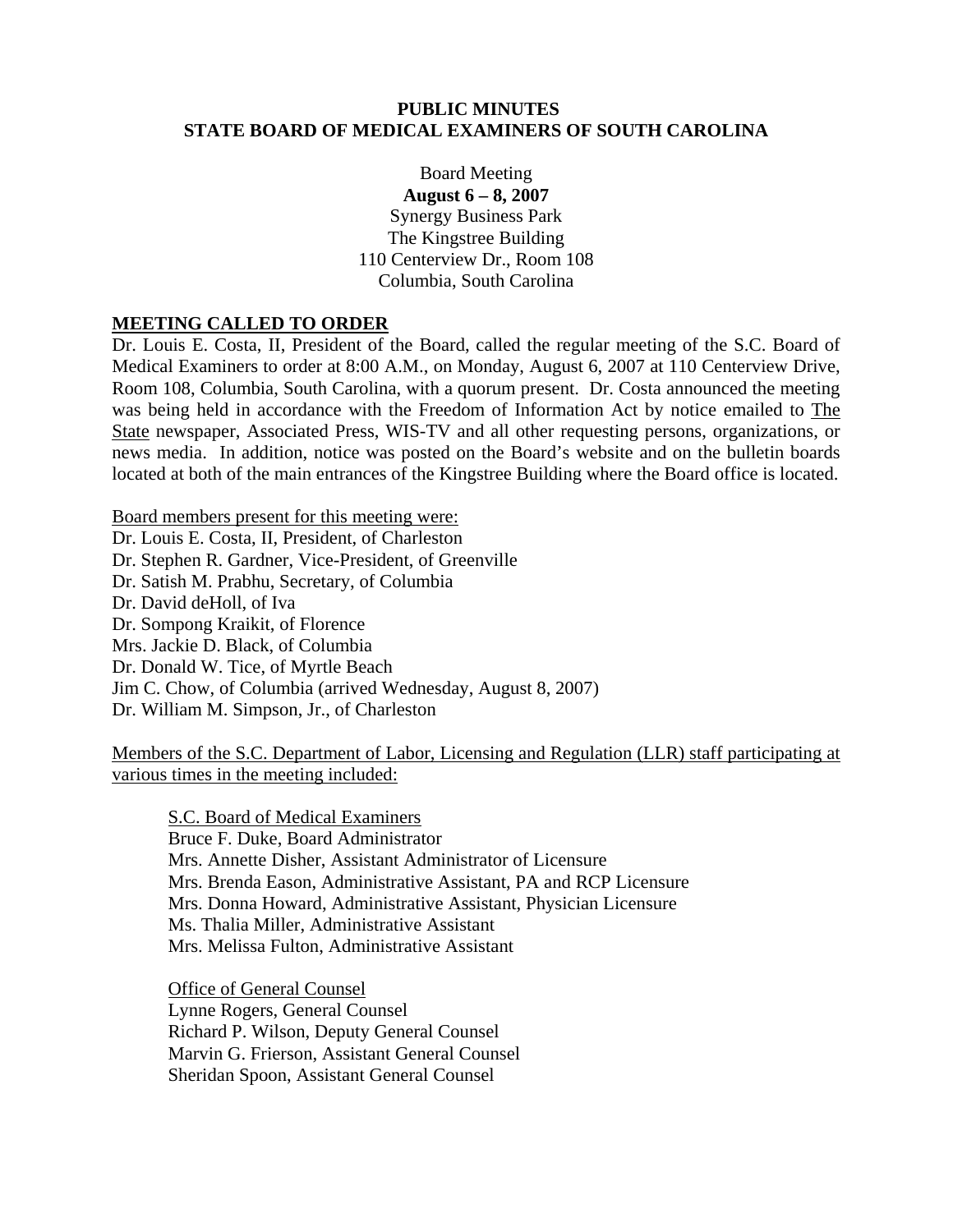#### **PUBLIC MINUTES STATE BOARD OF MEDICAL EXAMINERS OF SOUTH CAROLINA**

Board Meeting **August 6 – 8, 2007**  Synergy Business Park The Kingstree Building 110 Centerview Dr., Room 108 Columbia, South Carolina

#### **MEETING CALLED TO ORDER**

Dr. Louis E. Costa, II, President of the Board, called the regular meeting of the S.C. Board of Medical Examiners to order at 8:00 A.M., on Monday, August 6, 2007 at 110 Centerview Drive, Room 108, Columbia, South Carolina, with a quorum present. Dr. Costa announced the meeting was being held in accordance with the Freedom of Information Act by notice emailed to The State newspaper, Associated Press, WIS-TV and all other requesting persons, organizations, or news media. In addition, notice was posted on the Board's website and on the bulletin boards located at both of the main entrances of the Kingstree Building where the Board office is located.

Board members present for this meeting were: Dr. Louis E. Costa, II, President, of Charleston Dr. Stephen R. Gardner, Vice-President, of Greenville Dr. Satish M. Prabhu, Secretary, of Columbia Dr. David deHoll, of Iva Dr. Sompong Kraikit, of Florence Mrs. Jackie D. Black, of Columbia Dr. Donald W. Tice, of Myrtle Beach Jim C. Chow, of Columbia (arrived Wednesday, August 8, 2007) Dr. William M. Simpson, Jr., of Charleston

Members of the S.C. Department of Labor, Licensing and Regulation (LLR) staff participating at various times in the meeting included:

S.C. Board of Medical Examiners Bruce F. Duke, Board Administrator Mrs. Annette Disher, Assistant Administrator of Licensure Mrs. Brenda Eason, Administrative Assistant, PA and RCP Licensure Mrs. Donna Howard, Administrative Assistant, Physician Licensure Ms. Thalia Miller, Administrative Assistant Mrs. Melissa Fulton, Administrative Assistant

 Office of General Counsel Lynne Rogers, General Counsel Richard P. Wilson, Deputy General Counsel Marvin G. Frierson, Assistant General Counsel Sheridan Spoon, Assistant General Counsel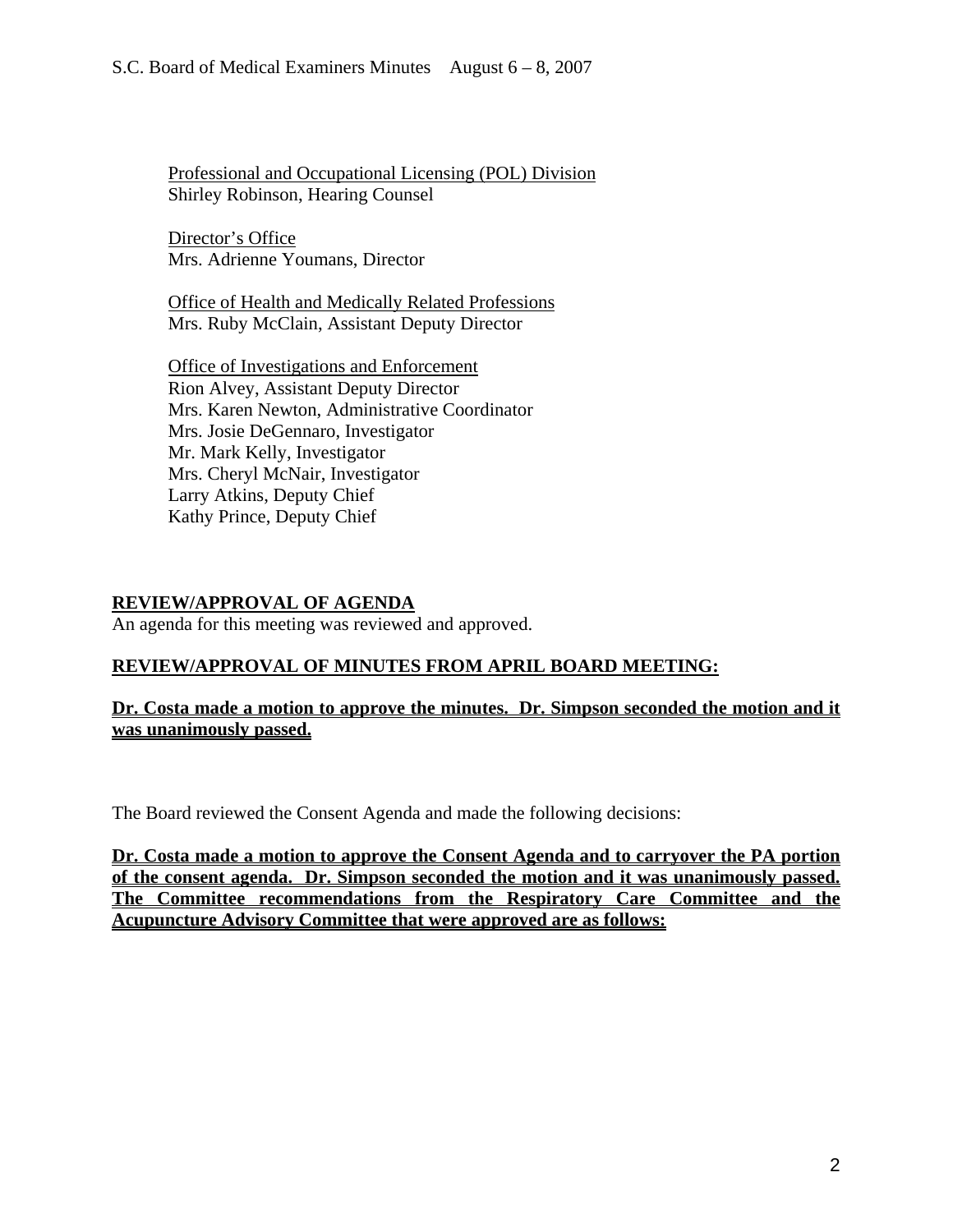Professional and Occupational Licensing (POL) Division Shirley Robinson, Hearing Counsel

Director's Office Mrs. Adrienne Youmans, Director

Office of Health and Medically Related Professions Mrs. Ruby McClain, Assistant Deputy Director

Office of Investigations and Enforcement Rion Alvey, Assistant Deputy Director Mrs. Karen Newton, Administrative Coordinator Mrs. Josie DeGennaro, Investigator Mr. Mark Kelly, Investigator Mrs. Cheryl McNair, Investigator Larry Atkins, Deputy Chief Kathy Prince, Deputy Chief

## **REVIEW/APPROVAL OF AGENDA**

An agenda for this meeting was reviewed and approved.

## **REVIEW/APPROVAL OF MINUTES FROM APRIL BOARD MEETING:**

## **Dr. Costa made a motion to approve the minutes. Dr. Simpson seconded the motion and it was unanimously passed.**

The Board reviewed the Consent Agenda and made the following decisions:

**Dr. Costa made a motion to approve the Consent Agenda and to carryover the PA portion of the consent agenda. Dr. Simpson seconded the motion and it was unanimously passed. The Committee recommendations from the Respiratory Care Committee and the Acupuncture Advisory Committee that were approved are as follows:**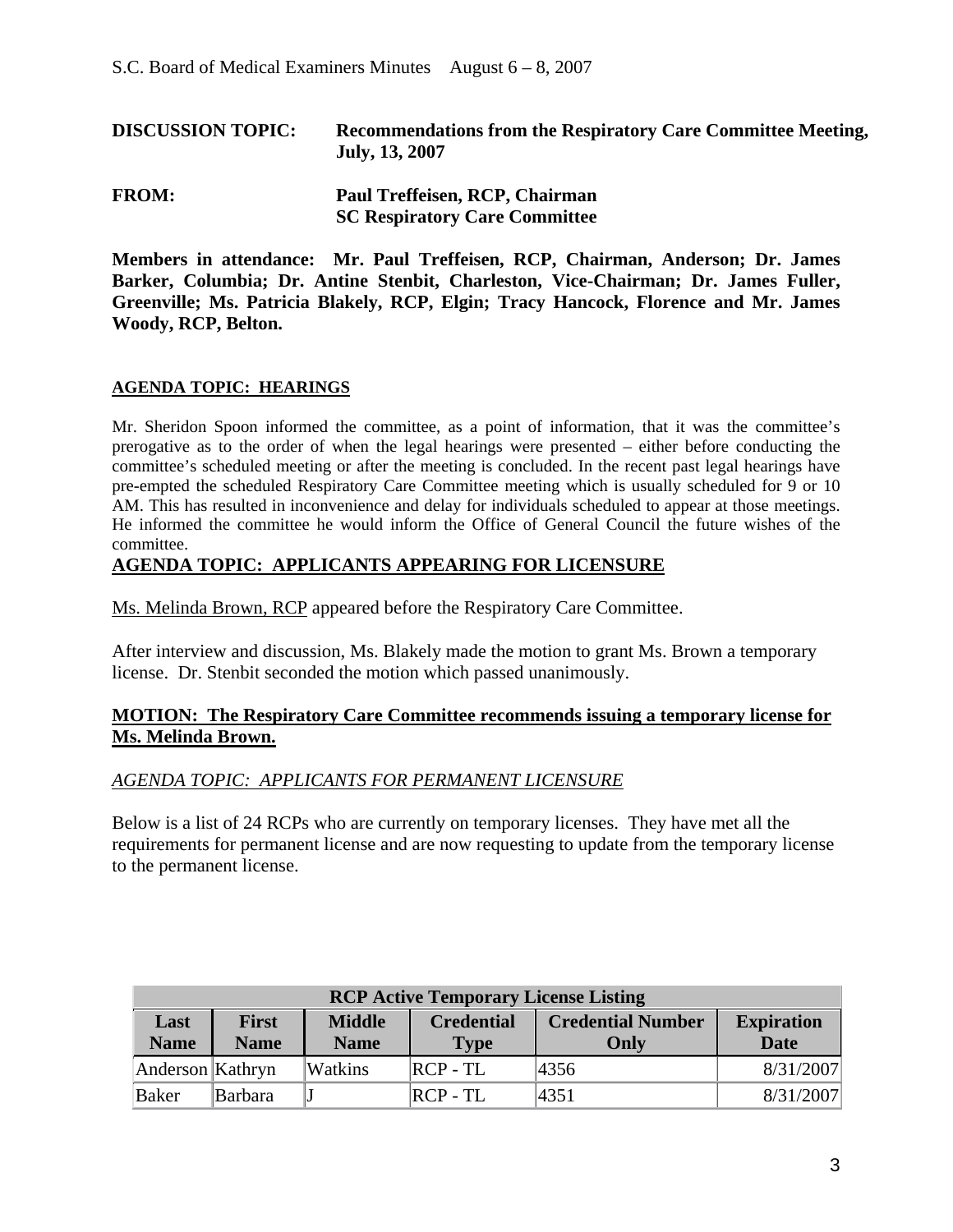| <b>DISCUSSION TOPIC:</b> | Recommendations from the Respiratory Care Committee Meeting,<br>July, 13, 2007 |  |  |
|--------------------------|--------------------------------------------------------------------------------|--|--|
| <b>FROM:</b>             | Paul Treffeisen, RCP, Chairman<br><b>SC Respiratory Care Committee</b>         |  |  |

**Members in attendance: Mr. Paul Treffeisen, RCP, Chairman, Anderson; Dr. James Barker, Columbia; Dr. Antine Stenbit, Charleston, Vice-Chairman; Dr. James Fuller, Greenville; Ms. Patricia Blakely, RCP, Elgin; Tracy Hancock, Florence and Mr. James Woody, RCP, Belton.** 

#### **AGENDA TOPIC: HEARINGS**

Mr. Sheridon Spoon informed the committee, as a point of information, that it was the committee's prerogative as to the order of when the legal hearings were presented – either before conducting the committee's scheduled meeting or after the meeting is concluded. In the recent past legal hearings have pre-empted the scheduled Respiratory Care Committee meeting which is usually scheduled for 9 or 10 AM. This has resulted in inconvenience and delay for individuals scheduled to appear at those meetings. He informed the committee he would inform the Office of General Council the future wishes of the committee.

#### **AGENDA TOPIC: APPLICANTS APPEARING FOR LICENSURE**

Ms. Melinda Brown, RCP appeared before the Respiratory Care Committee.

After interview and discussion, Ms. Blakely made the motion to grant Ms. Brown a temporary license. Dr. Stenbit seconded the motion which passed unanimously.

#### **MOTION: The Respiratory Care Committee recommends issuing a temporary license for Ms. Melinda Brown.**

#### *AGENDA TOPIC: APPLICANTS FOR PERMANENT LICENSURE*

Below is a list of 24 RCPs who are currently on temporary licenses. They have met all the requirements for permanent license and are now requesting to update from the temporary license to the permanent license.

| <b>RCP Active Temporary License Listing</b> |                                                                                                                                     |         |            |      |           |  |  |
|---------------------------------------------|-------------------------------------------------------------------------------------------------------------------------------------|---------|------------|------|-----------|--|--|
| Last<br><b>Name</b>                         | <b>Middle</b><br><b>Credential Number</b><br><b>First</b><br><b>Credential</b><br><b>Name</b><br><b>Name</b><br>Only<br><b>Type</b> |         |            |      |           |  |  |
| Anderson Kathryn                            |                                                                                                                                     | Watkins | $RCP - TL$ | 4356 | 8/31/2007 |  |  |
| Baker                                       | Barbara                                                                                                                             |         | $RCP - TL$ | 4351 | 8/31/2007 |  |  |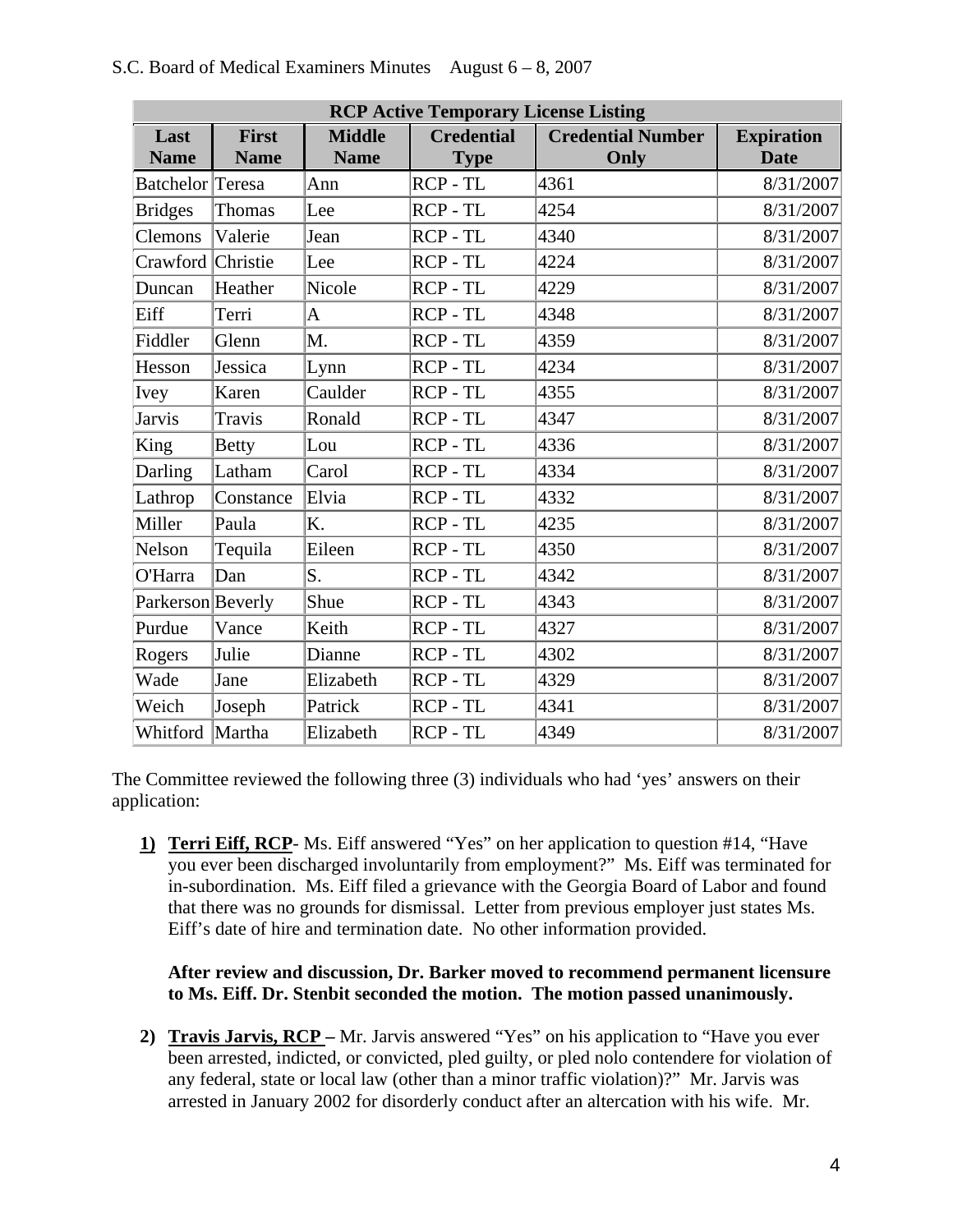|                                             | <b>RCP Active Temporary License Listing</b> |                              |                                  |                                  |                                  |  |  |
|---------------------------------------------|---------------------------------------------|------------------------------|----------------------------------|----------------------------------|----------------------------------|--|--|
| First<br>Last<br><b>Name</b><br><b>Name</b> |                                             | <b>Middle</b><br><b>Name</b> | <b>Credential</b><br><b>Type</b> | <b>Credential Number</b><br>Only | <b>Expiration</b><br><b>Date</b> |  |  |
| Batchelor Teresa                            |                                             | Ann                          | RCP-TL                           | 4361                             | 8/31/2007                        |  |  |
| <b>Bridges</b>                              | Thomas                                      | Lee                          | RCP - TL                         | 4254                             | 8/31/2007                        |  |  |
| Clemons                                     | Valerie                                     | Jean                         | RCP-TL                           | 4340                             | 8/31/2007                        |  |  |
| Crawford Christie                           |                                             | Lee                          | RCP - TL                         | 4224                             | 8/31/2007                        |  |  |
| Duncan                                      | Heather                                     | Nicole                       | RCP-TL                           | 4229                             | 8/31/2007                        |  |  |
| Eiff                                        | Terri                                       | A                            | RCP-TL                           | 4348                             | 8/31/2007                        |  |  |
| Fiddler                                     | Glenn                                       | M.                           | RCP-TL                           | 4359                             | 8/31/2007                        |  |  |
| Hesson                                      | Jessica                                     | Lynn                         | RCP-TL                           | 4234                             | 8/31/2007                        |  |  |
| Ivey                                        | Karen                                       | Caulder                      | RCP - TL                         | 4355                             | 8/31/2007                        |  |  |
| <b>Jarvis</b>                               | Travis                                      | Ronald                       | RCP-TL                           | 4347                             | 8/31/2007                        |  |  |
| King                                        | <b>Betty</b>                                | Lou                          | RCP - TL                         | 4336                             | 8/31/2007                        |  |  |
| Darling                                     | Latham                                      | Carol                        | RCP-TL                           | 4334                             | 8/31/2007                        |  |  |
| Lathrop                                     | Constance                                   | Elvia                        | RCP - TL                         | 4332                             | 8/31/2007                        |  |  |
| Miller                                      | Paula                                       | K.                           | RCP - TL                         | 4235                             | 8/31/2007                        |  |  |
| Nelson                                      | Tequila                                     | Eileen                       | RCP - TL                         | 4350                             | 8/31/2007                        |  |  |
| O'Harra                                     | Dan                                         | S.                           | RCP-TL                           | 4342                             | 8/31/2007                        |  |  |
| Parkerson Beverly                           |                                             | Shue                         | RCP - TL                         | 4343                             | 8/31/2007                        |  |  |
| Purdue                                      | Vance                                       | Keith                        | RCP - TL                         | 4327                             | 8/31/2007                        |  |  |
| Rogers                                      | Julie                                       | Dianne                       | RCP - TL                         | 4302                             | 8/31/2007                        |  |  |

The Committee reviewed the following three (3) individuals who had 'yes' answers on their application:

**1) Terri Eiff, RCP**- Ms. Eiff answered "Yes" on her application to question #14, "Have you ever been discharged involuntarily from employment?" Ms. Eiff was terminated for in-subordination. Ms. Eiff filed a grievance with the Georgia Board of Labor and found that there was no grounds for dismissal. Letter from previous employer just states Ms. Eiff's date of hire and termination date. No other information provided.

Wade Jane Elizabeth RCP - TL 4329 | 8/31/2007 Weich Joseph Patrick RCP-TL 4341 | 8/31/2007 Whitford Martha Elizabeth RCP - TL 4349 8/31/2007

#### **After review and discussion, Dr. Barker moved to recommend permanent licensure to Ms. Eiff. Dr. Stenbit seconded the motion. The motion passed unanimously.**

**2) Travis Jarvis, RCP –** Mr. Jarvis answered "Yes" on his application to "Have you ever been arrested, indicted, or convicted, pled guilty, or pled nolo contendere for violation of any federal, state or local law (other than a minor traffic violation)?" Mr. Jarvis was arrested in January 2002 for disorderly conduct after an altercation with his wife. Mr.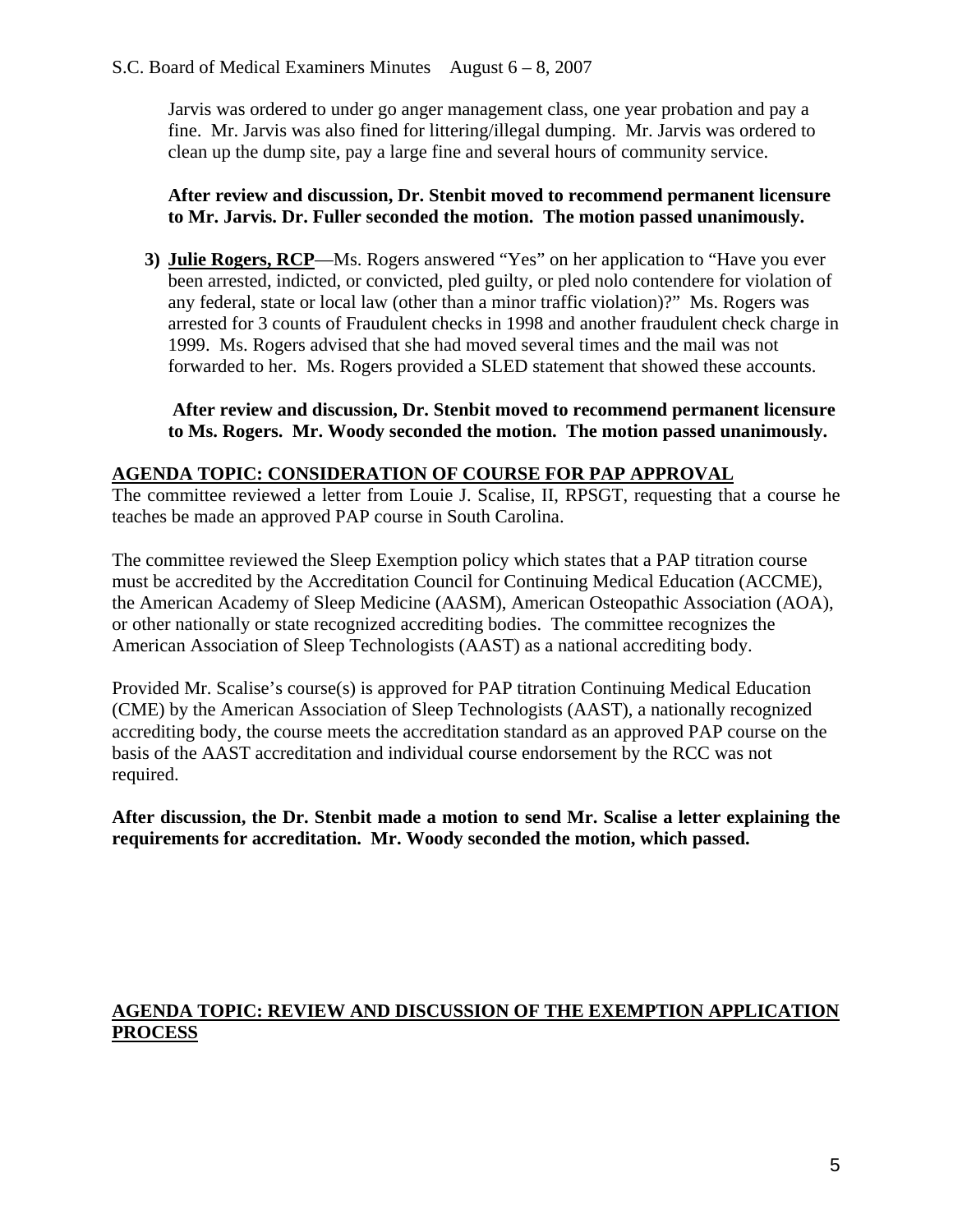Jarvis was ordered to under go anger management class, one year probation and pay a fine. Mr. Jarvis was also fined for littering/illegal dumping. Mr. Jarvis was ordered to clean up the dump site, pay a large fine and several hours of community service.

## **After review and discussion, Dr. Stenbit moved to recommend permanent licensure to Mr. Jarvis. Dr. Fuller seconded the motion. The motion passed unanimously.**

**3) Julie Rogers, RCP**—Ms. Rogers answered "Yes" on her application to "Have you ever been arrested, indicted, or convicted, pled guilty, or pled nolo contendere for violation of any federal, state or local law (other than a minor traffic violation)?" Ms. Rogers was arrested for 3 counts of Fraudulent checks in 1998 and another fraudulent check charge in 1999. Ms. Rogers advised that she had moved several times and the mail was not forwarded to her. Ms. Rogers provided a SLED statement that showed these accounts.

## **After review and discussion, Dr. Stenbit moved to recommend permanent licensure to Ms. Rogers. Mr. Woody seconded the motion. The motion passed unanimously.**

## **AGENDA TOPIC: CONSIDERATION OF COURSE FOR PAP APPROVAL**

The committee reviewed a letter from Louie J. Scalise, II, RPSGT, requesting that a course he teaches be made an approved PAP course in South Carolina.

The committee reviewed the Sleep Exemption policy which states that a PAP titration course must be accredited by the Accreditation Council for Continuing Medical Education (ACCME), the American Academy of Sleep Medicine (AASM), American Osteopathic Association (AOA), or other nationally or state recognized accrediting bodies. The committee recognizes the American Association of Sleep Technologists (AAST) as a national accrediting body.

Provided Mr. Scalise's course(s) is approved for PAP titration Continuing Medical Education (CME) by the American Association of Sleep Technologists (AAST), a nationally recognized accrediting body, the course meets the accreditation standard as an approved PAP course on the basis of the AAST accreditation and individual course endorsement by the RCC was not required.

**After discussion, the Dr. Stenbit made a motion to send Mr. Scalise a letter explaining the requirements for accreditation. Mr. Woody seconded the motion, which passed.** 

## **AGENDA TOPIC: REVIEW AND DISCUSSION OF THE EXEMPTION APPLICATION PROCESS**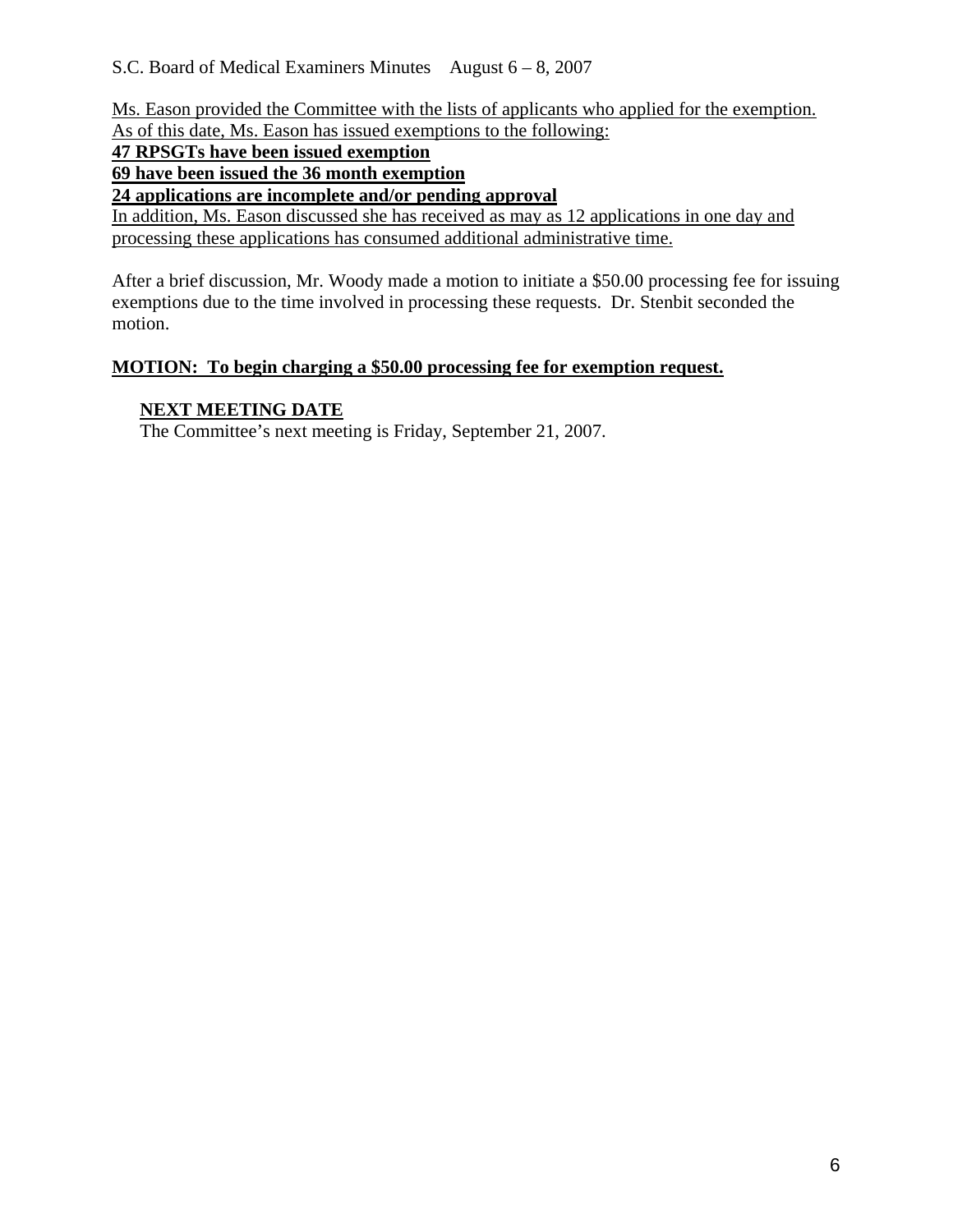Ms. Eason provided the Committee with the lists of applicants who applied for the exemption. As of this date, Ms. Eason has issued exemptions to the following:

**47 RPSGTs have been issued exemption**

**69 have been issued the 36 month exemption**

**24 applications are incomplete and/or pending approval**

In addition, Ms. Eason discussed she has received as may as 12 applications in one day and processing these applications has consumed additional administrative time.

After a brief discussion, Mr. Woody made a motion to initiate a \$50.00 processing fee for issuing exemptions due to the time involved in processing these requests. Dr. Stenbit seconded the motion.

## **MOTION: To begin charging a \$50.00 processing fee for exemption request.**

## **NEXT MEETING DATE**

The Committee's next meeting is Friday, September 21, 2007.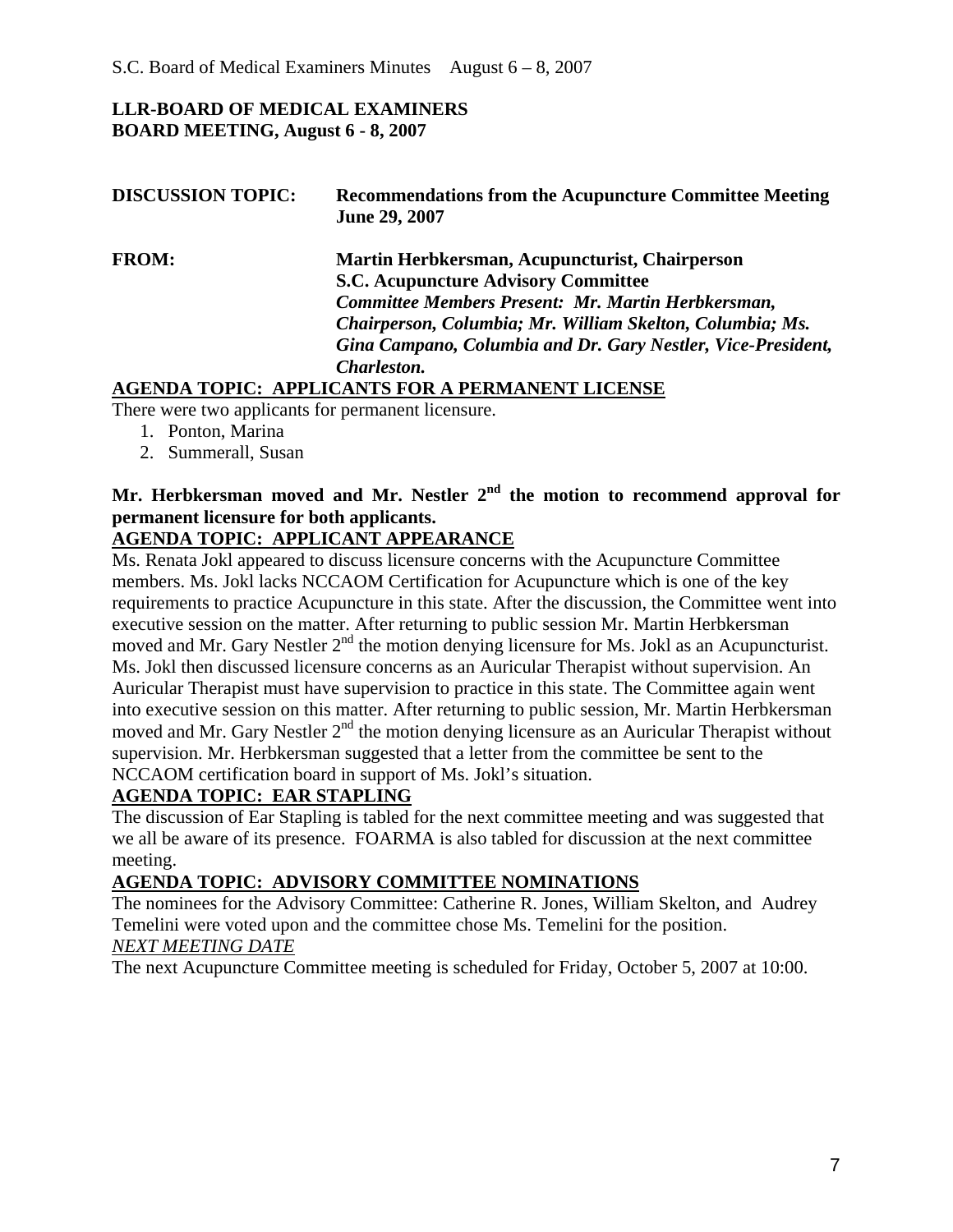## **LLR-BOARD OF MEDICAL EXAMINERS BOARD MEETING, August 6 - 8, 2007**

| <b>DISCUSSION TOPIC:</b> | <b>Recommendations from the Acupuncture Committee Meeting</b><br>June 29, 2007 |
|--------------------------|--------------------------------------------------------------------------------|
| <b>FROM:</b>             | Martin Herbkersman, Acupuncturist, Chairperson                                 |
|                          | <b>S.C. Acupuncture Advisory Committee</b>                                     |
|                          | Committee Members Present: Mr. Martin Herbkersman,                             |
|                          | Chairperson, Columbia; Mr. William Skelton, Columbia; Ms.                      |
|                          | Gina Campano, Columbia and Dr. Gary Nestler, Vice-President,                   |
|                          | Charleston.                                                                    |
|                          | <b>AGENDA TOPIC: APPLICANTS FOR A PERMANENT LICENSE</b>                        |

There were two applicants for permanent licensure.

- 1. Ponton, Marina
- 2. Summerall, Susan

# **Mr. Herbkersman moved and Mr. Nestler 2nd the motion to recommend approval for permanent licensure for both applicants.**

## **AGENDA TOPIC: APPLICANT APPEARANCE**

Ms. Renata Jokl appeared to discuss licensure concerns with the Acupuncture Committee members. Ms. Jokl lacks NCCAOM Certification for Acupuncture which is one of the key requirements to practice Acupuncture in this state. After the discussion, the Committee went into executive session on the matter. After returning to public session Mr. Martin Herbkersman moved and Mr. Gary Nestler 2<sup>nd</sup> the motion denying licensure for Ms. Jokl as an Acupuncturist. Ms. Jokl then discussed licensure concerns as an Auricular Therapist without supervision. An Auricular Therapist must have supervision to practice in this state. The Committee again went into executive session on this matter. After returning to public session, Mr. Martin Herbkersman moved and Mr. Gary Nestler  $2<sup>nd</sup>$  the motion denying licensure as an Auricular Therapist without supervision. Mr. Herbkersman suggested that a letter from the committee be sent to the NCCAOM certification board in support of Ms. Jokl's situation.

## **AGENDA TOPIC: EAR STAPLING**

The discussion of Ear Stapling is tabled for the next committee meeting and was suggested that we all be aware of its presence. FOARMA is also tabled for discussion at the next committee meeting.

## **AGENDA TOPIC: ADVISORY COMMITTEE NOMINATIONS**

The nominees for the Advisory Committee: Catherine R. Jones, William Skelton, and Audrey Temelini were voted upon and the committee chose Ms. Temelini for the position. *NEXT MEETING DATE*

The next Acupuncture Committee meeting is scheduled for Friday, October 5, 2007 at 10:00.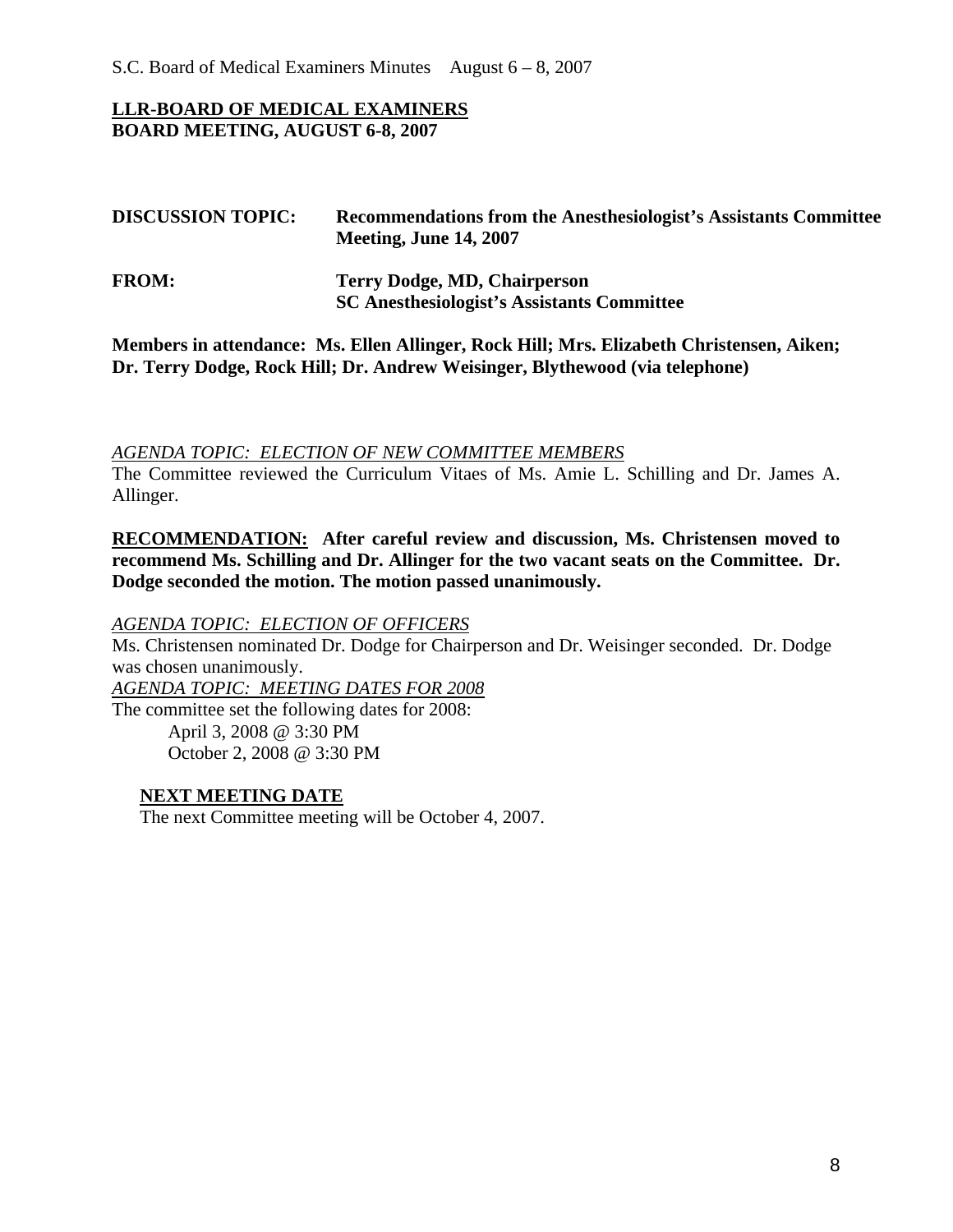S.C. Board of Medical Examiners Minutes August 6 – 8, 2007

#### **LLR-BOARD OF MEDICAL EXAMINERS BOARD MEETING, AUGUST 6-8, 2007**

| <b>DISCUSSION TOPIC:</b> | Recommendations from the Anesthesiologist's Assistants Committee<br><b>Meeting, June 14, 2007</b> |  |  |
|--------------------------|---------------------------------------------------------------------------------------------------|--|--|
| <b>FROM:</b>             | <b>Terry Dodge, MD, Chairperson</b><br><b>SC Anesthesiologist's Assistants Committee</b>          |  |  |

**Members in attendance: Ms. Ellen Allinger, Rock Hill; Mrs. Elizabeth Christensen, Aiken; Dr. Terry Dodge, Rock Hill; Dr. Andrew Weisinger, Blythewood (via telephone)** 

*AGENDA TOPIC: ELECTION OF NEW COMMITTEE MEMBERS*

The Committee reviewed the Curriculum Vitaes of Ms. Amie L. Schilling and Dr. James A. Allinger.

**RECOMMENDATION: After careful review and discussion, Ms. Christensen moved to recommend Ms. Schilling and Dr. Allinger for the two vacant seats on the Committee. Dr. Dodge seconded the motion. The motion passed unanimously.** 

#### *AGENDA TOPIC: ELECTION OF OFFICERS*

Ms. Christensen nominated Dr. Dodge for Chairperson and Dr. Weisinger seconded. Dr. Dodge was chosen unanimously.

*AGENDA TOPIC: MEETING DATES FOR 2008* The committee set the following dates for 2008: April 3, 2008 @ 3:30 PM October 2, 2008 @ 3:30 PM

#### **NEXT MEETING DATE**

The next Committee meeting will be October 4, 2007.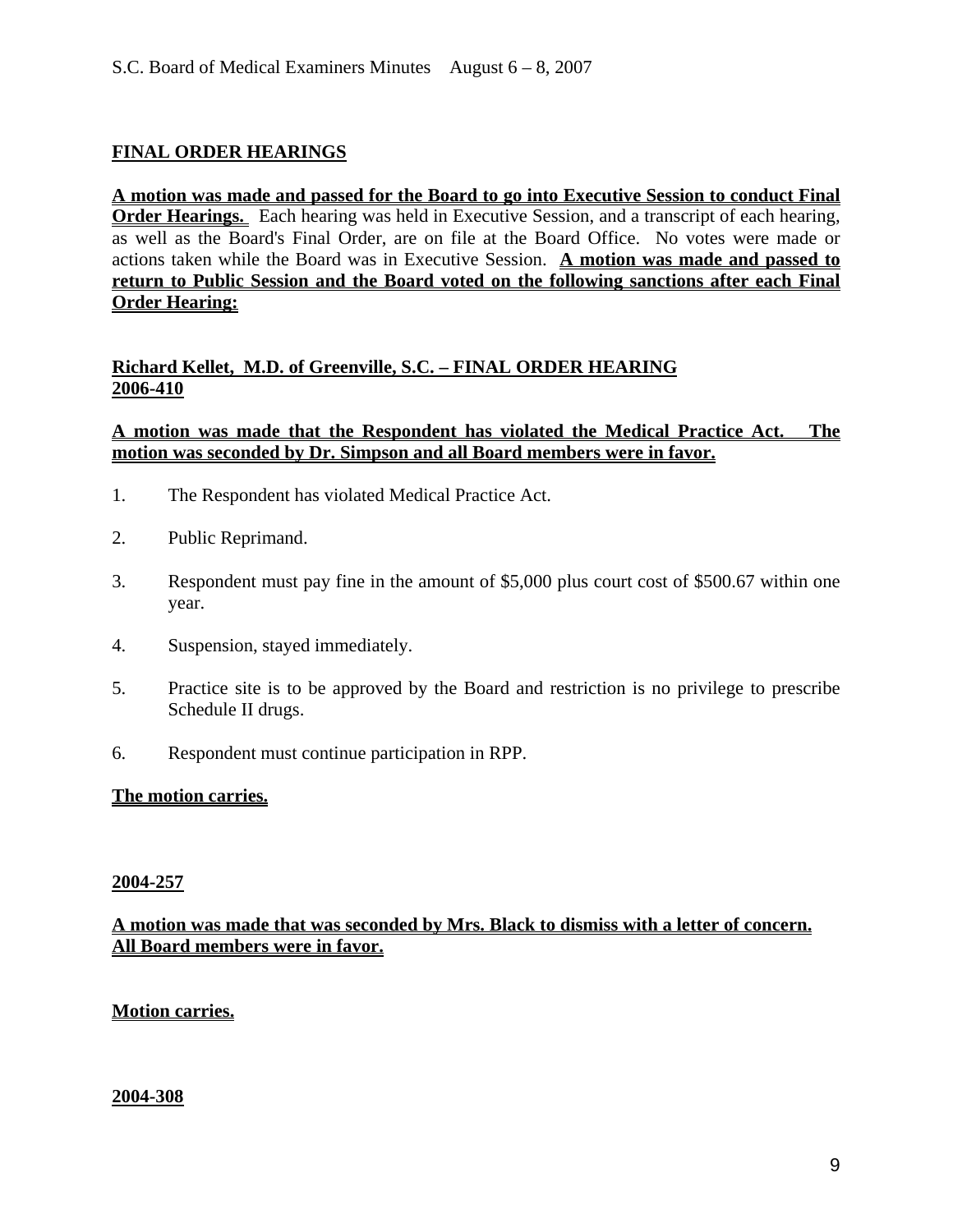## **FINAL ORDER HEARINGS**

**A motion was made and passed for the Board to go into Executive Session to conduct Final Order Hearings.** Each hearing was held in Executive Session, and a transcript of each hearing, as well as the Board's Final Order, are on file at the Board Office. No votes were made or actions taken while the Board was in Executive Session. **A motion was made and passed to return to Public Session and the Board voted on the following sanctions after each Final Order Hearing:**

## **Richard Kellet, M.D. of Greenville, S.C. – FINAL ORDER HEARING 2006-410**

#### **A motion was made that the Respondent has violated the Medical Practice Act. The motion was seconded by Dr. Simpson and all Board members were in favor.**

- 1. The Respondent has violated Medical Practice Act.
- 2. Public Reprimand.
- 3. Respondent must pay fine in the amount of \$5,000 plus court cost of \$500.67 within one year.
- 4. Suspension, stayed immediately.
- 5. Practice site is to be approved by the Board and restriction is no privilege to prescribe Schedule II drugs.
- 6. Respondent must continue participation in RPP.

#### **The motion carries.**

#### **2004-257**

#### **A motion was made that was seconded by Mrs. Black to dismiss with a letter of concern. All Board members were in favor.**

#### **Motion carries.**

#### **2004-308**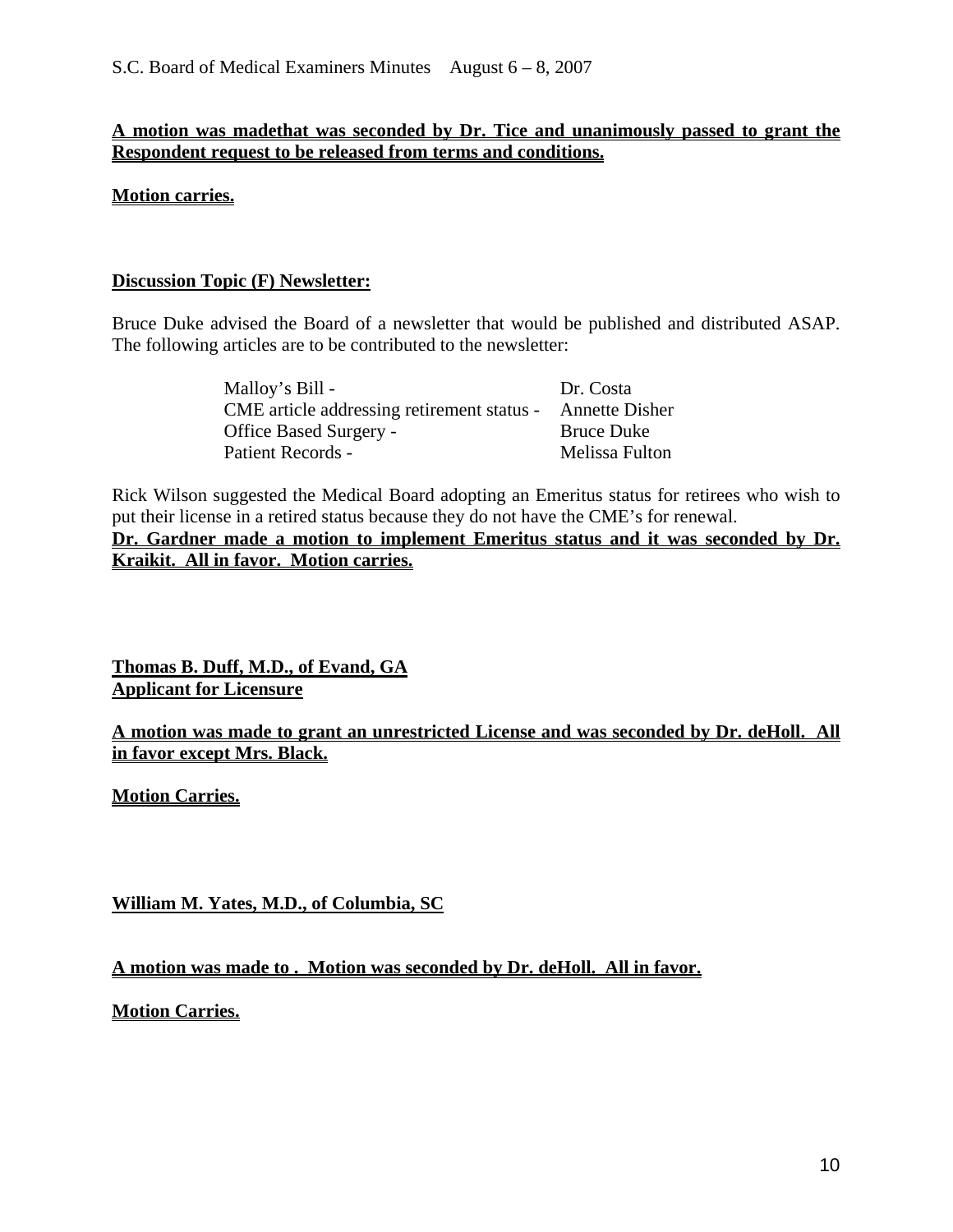## **A motion was madethat was seconded by Dr. Tice and unanimously passed to grant the Respondent request to be released from terms and conditions.**

**Motion carries.**

## **Discussion Topic (F) Newsletter:**

Bruce Duke advised the Board of a newsletter that would be published and distributed ASAP. The following articles are to be contributed to the newsletter:

| Malloy's Bill -                            | Dr. Costa             |
|--------------------------------------------|-----------------------|
| CME article addressing retirement status - | <b>Annette Disher</b> |
| <b>Office Based Surgery -</b>              | <b>Bruce Duke</b>     |
| Patient Records -                          | Melissa Fulton        |

Rick Wilson suggested the Medical Board adopting an Emeritus status for retirees who wish to put their license in a retired status because they do not have the CME's for renewal. **Dr. Gardner made a motion to implement Emeritus status and it was seconded by Dr. Kraikit. All in favor. Motion carries.** 

**Thomas B. Duff, M.D., of Evand, GA Applicant for Licensure**

**A motion was made to grant an unrestricted License and was seconded by Dr. deHoll. All in favor except Mrs. Black.** 

**Motion Carries.**

**William M. Yates, M.D., of Columbia, SC**

**A motion was made to . Motion was seconded by Dr. deHoll. All in favor.** 

**Motion Carries.**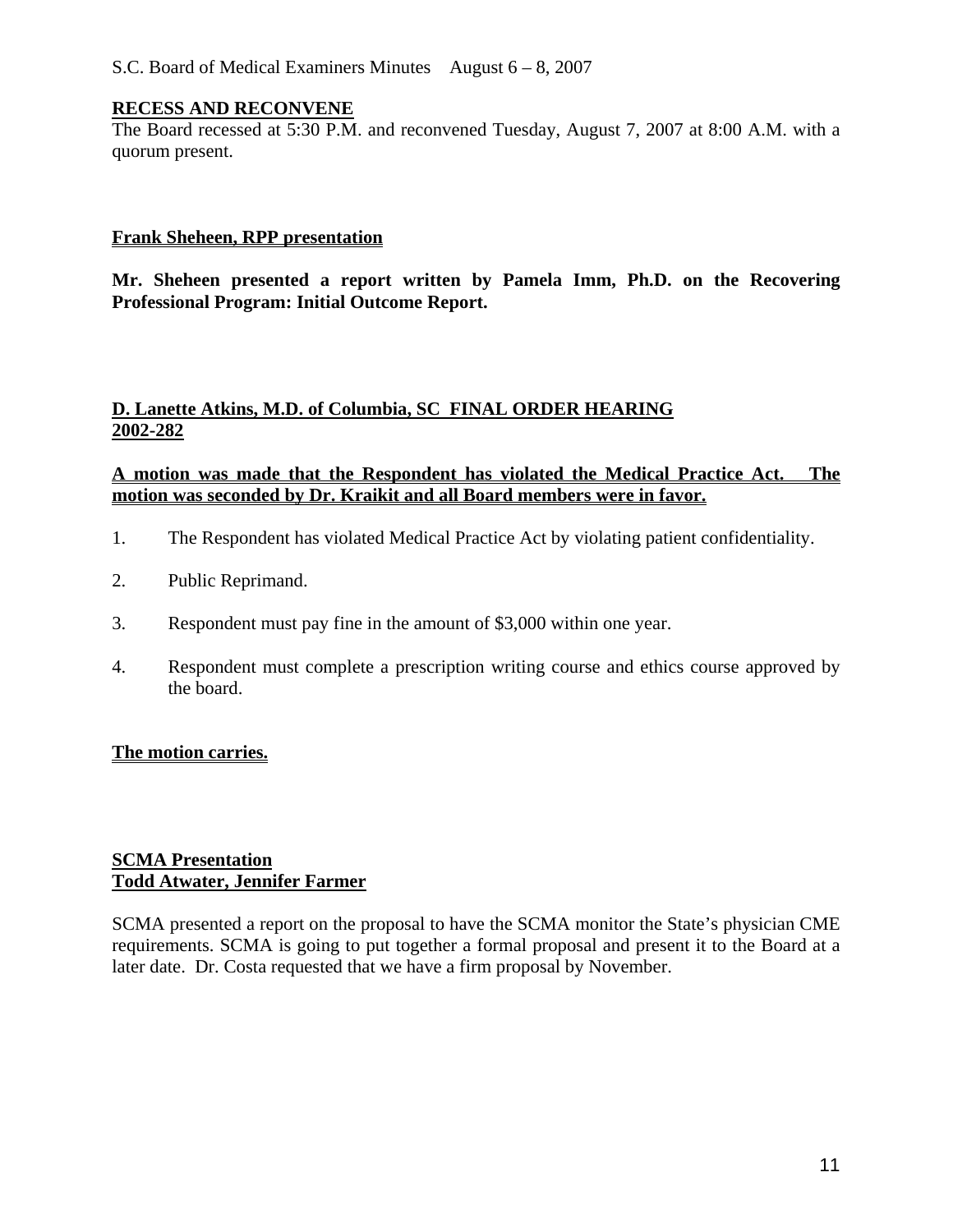#### **RECESS AND RECONVENE**

The Board recessed at 5:30 P.M. and reconvened Tuesday, August 7, 2007 at 8:00 A.M. with a quorum present.

#### **Frank Sheheen, RPP presentation**

**Mr. Sheheen presented a report written by Pamela Imm, Ph.D. on the Recovering Professional Program: Initial Outcome Report.** 

#### **D. Lanette Atkins, M.D. of Columbia, SC FINAL ORDER HEARING 2002-282**

## **A motion was made that the Respondent has violated the Medical Practice Act. The motion was seconded by Dr. Kraikit and all Board members were in favor.**

- 1. The Respondent has violated Medical Practice Act by violating patient confidentiality.
- 2. Public Reprimand.
- 3. Respondent must pay fine in the amount of \$3,000 within one year.
- 4. Respondent must complete a prescription writing course and ethics course approved by the board.

## **The motion carries.**

#### **SCMA Presentation Todd Atwater, Jennifer Farmer**

SCMA presented a report on the proposal to have the SCMA monitor the State's physician CME requirements. SCMA is going to put together a formal proposal and present it to the Board at a later date. Dr. Costa requested that we have a firm proposal by November.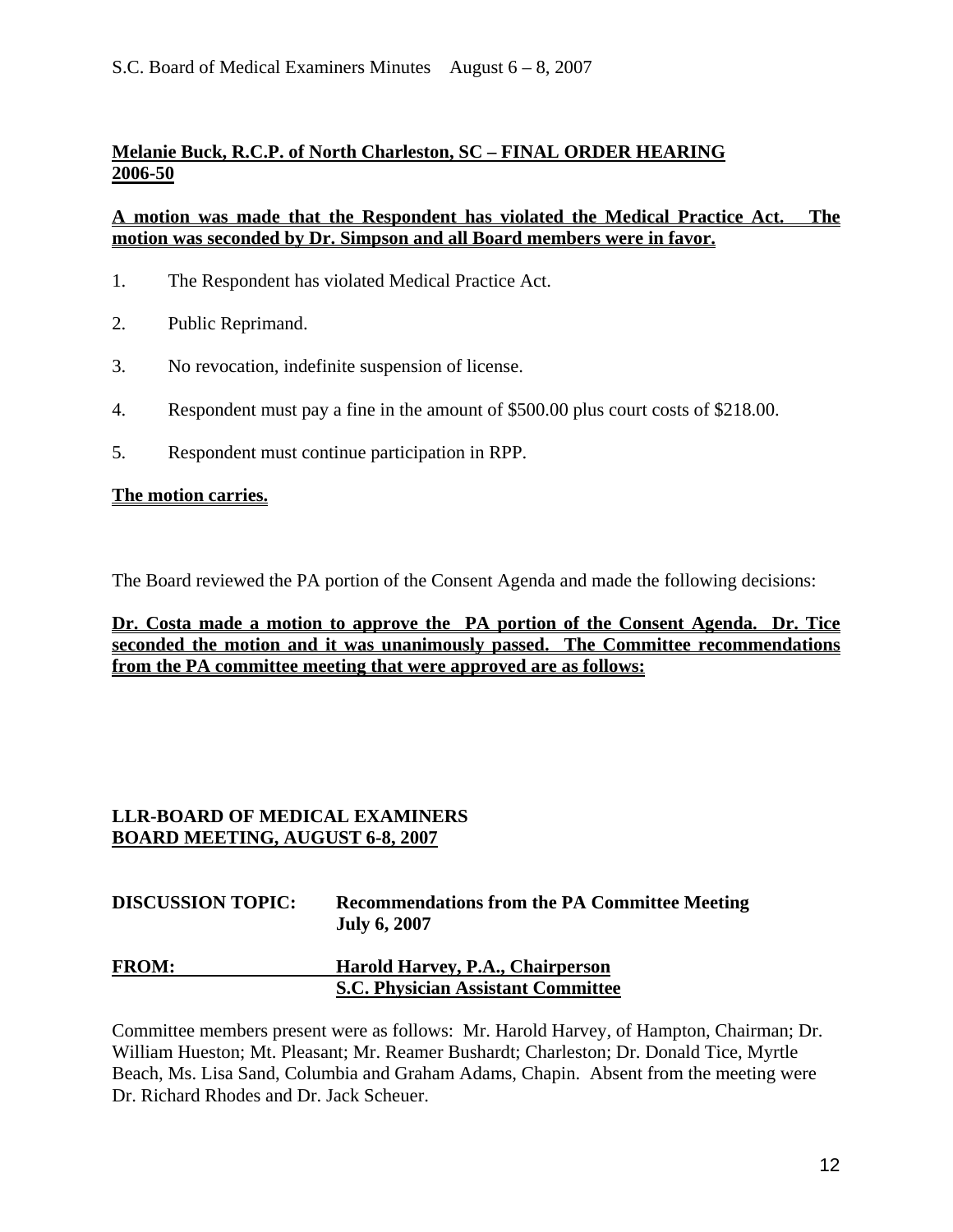### **Melanie Buck, R.C.P. of North Charleston, SC – FINAL ORDER HEARING 2006-50**

#### **A motion was made that the Respondent has violated the Medical Practice Act. The motion was seconded by Dr. Simpson and all Board members were in favor.**

- 1. The Respondent has violated Medical Practice Act.
- 2. Public Reprimand.
- 3. No revocation, indefinite suspension of license.
- 4. Respondent must pay a fine in the amount of \$500.00 plus court costs of \$218.00.
- 5. Respondent must continue participation in RPP.

#### **The motion carries.**

The Board reviewed the PA portion of the Consent Agenda and made the following decisions:

**Dr. Costa made a motion to approve the PA portion of the Consent Agenda. Dr. Tice seconded the motion and it was unanimously passed. The Committee recommendations from the PA committee meeting that were approved are as follows:**

## **LLR-BOARD OF MEDICAL EXAMINERS BOARD MEETING, AUGUST 6-8, 2007**

| <b>DISCUSSION TOPIC:</b> | <b>Recommendations from the PA Committee Meeting</b><br><b>July 6, 2007</b> |
|--------------------------|-----------------------------------------------------------------------------|
| <b>FROM:</b>             | Harold Harvey, P.A., Chairperson                                            |
|                          | <b>S.C. Physician Assistant Committee</b>                                   |

Committee members present were as follows: Mr. Harold Harvey, of Hampton, Chairman; Dr. William Hueston; Mt. Pleasant; Mr. Reamer Bushardt; Charleston; Dr. Donald Tice, Myrtle Beach, Ms. Lisa Sand, Columbia and Graham Adams, Chapin. Absent from the meeting were Dr. Richard Rhodes and Dr. Jack Scheuer.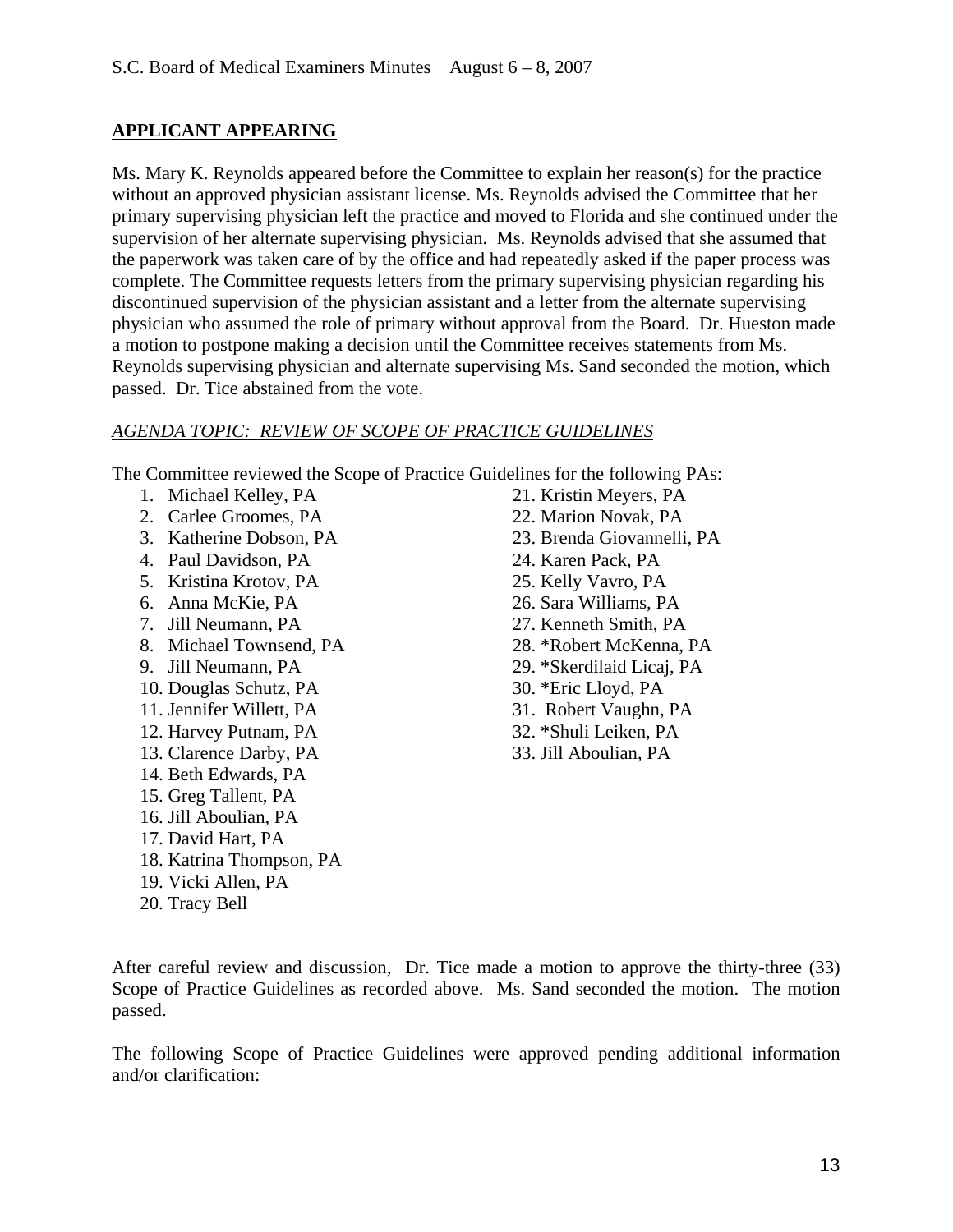## **APPLICANT APPEARING**

Ms. Mary K. Reynolds appeared before the Committee to explain her reason(s) for the practice without an approved physician assistant license. Ms. Reynolds advised the Committee that her primary supervising physician left the practice and moved to Florida and she continued under the supervision of her alternate supervising physician. Ms. Reynolds advised that she assumed that the paperwork was taken care of by the office and had repeatedly asked if the paper process was complete. The Committee requests letters from the primary supervising physician regarding his discontinued supervision of the physician assistant and a letter from the alternate supervising physician who assumed the role of primary without approval from the Board. Dr. Hueston made a motion to postpone making a decision until the Committee receives statements from Ms. Reynolds supervising physician and alternate supervising Ms. Sand seconded the motion, which passed. Dr. Tice abstained from the vote.

## *AGENDA TOPIC: REVIEW OF SCOPE OF PRACTICE GUIDELINES*

The Committee reviewed the Scope of Practice Guidelines for the following PAs:

- 1. Michael Kelley, PA
- 2. Carlee Groomes, PA
- 3. Katherine Dobson, PA
- 4. Paul Davidson, PA
- 5. Kristina Krotov, PA
- 6. Anna McKie, PA
- 7. Jill Neumann, PA
- 8. Michael Townsend, PA
- 9. Jill Neumann, PA
- 10. Douglas Schutz, PA
- 11. Jennifer Willett, PA
- 12. Harvey Putnam, PA
- 13. Clarence Darby, PA
- 14. Beth Edwards, PA
- 15. Greg Tallent, PA
- 16. Jill Aboulian, PA
- 17. David Hart, PA
- 18. Katrina Thompson, PA
- 19. Vicki Allen, PA
- 20. Tracy Bell
- 21. Kristin Meyers, PA
- 22. Marion Novak, PA
- 23. Brenda Giovannelli, PA
- 24. Karen Pack, PA
- 25. Kelly Vavro, PA
- 26. Sara Williams, PA
- 27. Kenneth Smith, PA
- 28. \*Robert McKenna, PA
- 29. \*Skerdilaid Licaj, PA
- 30. \*Eric Lloyd, PA
- 31. Robert Vaughn, PA
- 32. \*Shuli Leiken, PA
- 33. Jill Aboulian, PA

After careful review and discussion, Dr. Tice made a motion to approve the thirty-three (33) Scope of Practice Guidelines as recorded above. Ms. Sand seconded the motion. The motion passed.

The following Scope of Practice Guidelines were approved pending additional information and/or clarification: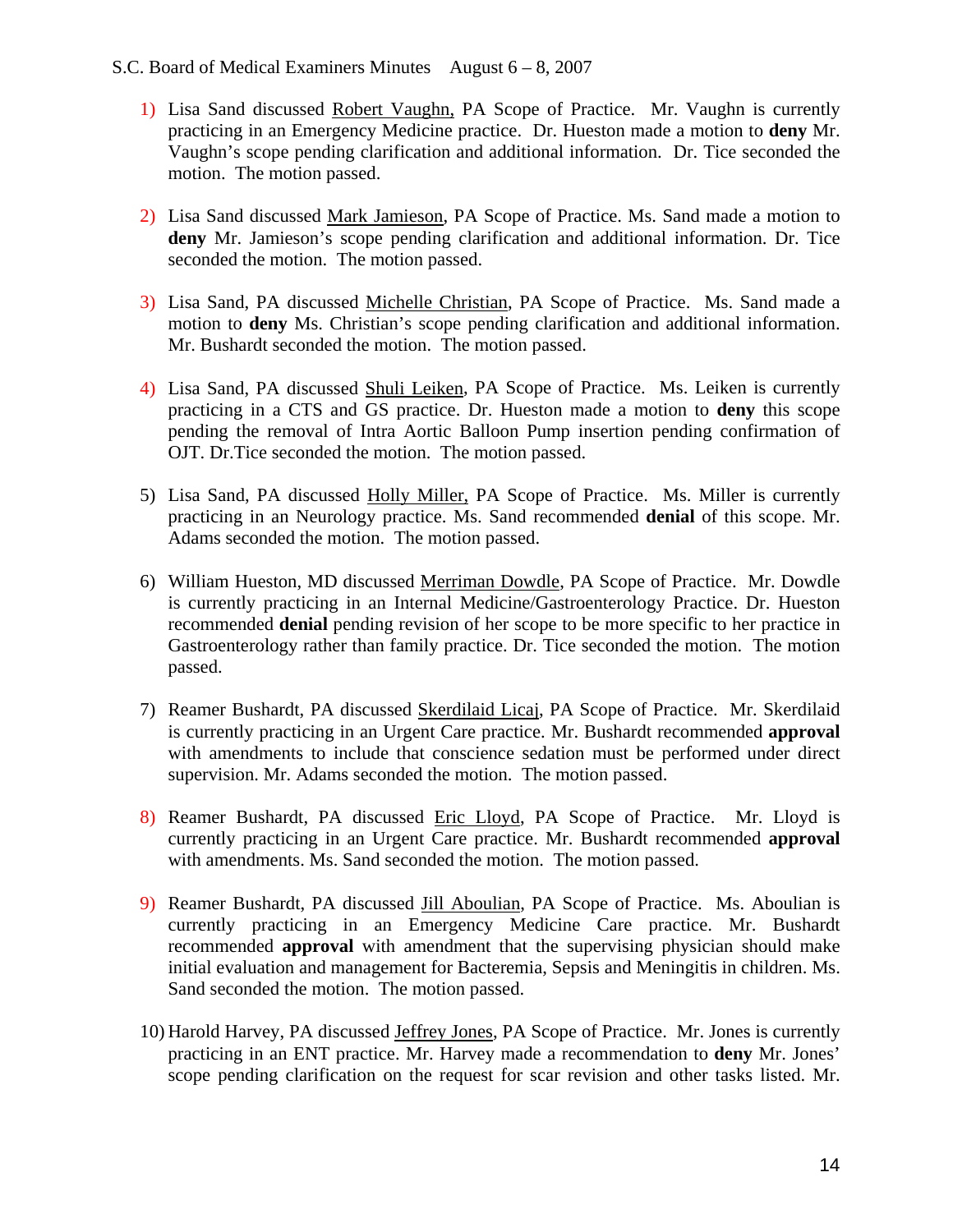#### S.C. Board of Medical Examiners Minutes August 6 – 8, 2007

- 1) Lisa Sand discussed Robert Vaughn, PA Scope of Practice. Mr. Vaughn is currently practicing in an Emergency Medicine practice. Dr. Hueston made a motion to **deny** Mr. Vaughn's scope pending clarification and additional information. Dr. Tice seconded the motion. The motion passed.
- 2) Lisa Sand discussed Mark Jamieson, PA Scope of Practice. Ms. Sand made a motion to **deny** Mr. Jamieson's scope pending clarification and additional information. Dr. Tice seconded the motion. The motion passed.
- 3) Lisa Sand, PA discussed Michelle Christian, PA Scope of Practice. Ms. Sand made a motion to **deny** Ms. Christian's scope pending clarification and additional information. Mr. Bushardt seconded the motion. The motion passed.
- 4) Lisa Sand, PA discussed Shuli Leiken, PA Scope of Practice. Ms. Leiken is currently practicing in a CTS and GS practice. Dr. Hueston made a motion to **deny** this scope pending the removal of Intra Aortic Balloon Pump insertion pending confirmation of OJT. Dr.Tice seconded the motion. The motion passed.
- 5) Lisa Sand, PA discussed Holly Miller, PA Scope of Practice. Ms. Miller is currently practicing in an Neurology practice. Ms. Sand recommended **denial** of this scope. Mr. Adams seconded the motion. The motion passed.
- 6) William Hueston, MD discussed Merriman Dowdle, PA Scope of Practice. Mr. Dowdle is currently practicing in an Internal Medicine/Gastroenterology Practice. Dr. Hueston recommended **denial** pending revision of her scope to be more specific to her practice in Gastroenterology rather than family practice. Dr. Tice seconded the motion. The motion passed.
- 7) Reamer Bushardt, PA discussed Skerdilaid Licaj, PA Scope of Practice. Mr. Skerdilaid is currently practicing in an Urgent Care practice. Mr. Bushardt recommended **approval** with amendments to include that conscience sedation must be performed under direct supervision. Mr. Adams seconded the motion. The motion passed.
- 8) Reamer Bushardt, PA discussed Eric Lloyd, PA Scope of Practice. Mr. Lloyd is currently practicing in an Urgent Care practice. Mr. Bushardt recommended **approval** with amendments. Ms. Sand seconded the motion. The motion passed.
- 9) Reamer Bushardt, PA discussed Jill Aboulian, PA Scope of Practice. Ms. Aboulian is currently practicing in an Emergency Medicine Care practice. Mr. Bushardt recommended **approval** with amendment that the supervising physician should make initial evaluation and management for Bacteremia, Sepsis and Meningitis in children. Ms. Sand seconded the motion. The motion passed.
- 10) Harold Harvey, PA discussed Jeffrey Jones, PA Scope of Practice. Mr. Jones is currently practicing in an ENT practice. Mr. Harvey made a recommendation to **deny** Mr. Jones' scope pending clarification on the request for scar revision and other tasks listed. Mr.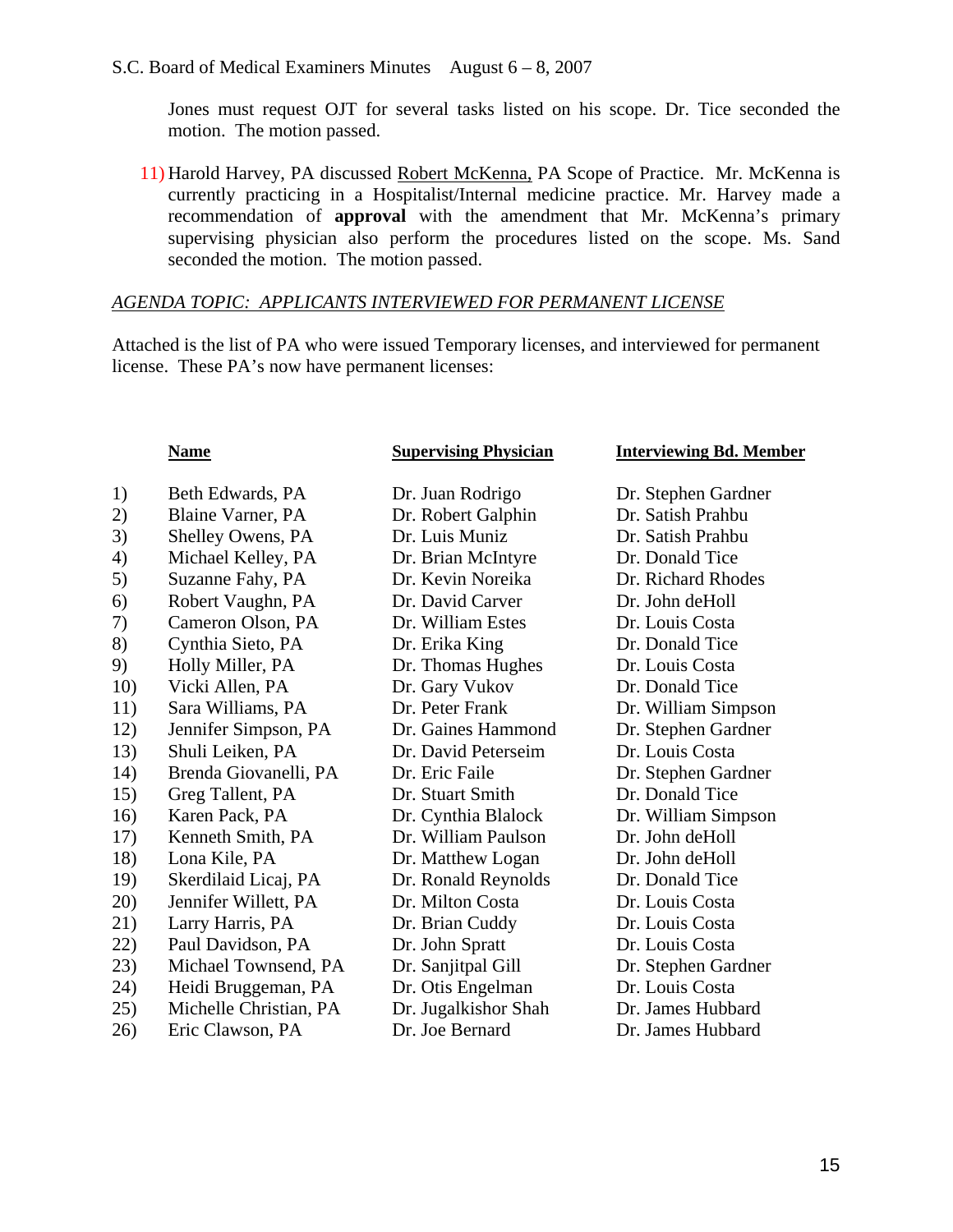Jones must request OJT for several tasks listed on his scope. Dr. Tice seconded the motion. The motion passed.

11) Harold Harvey, PA discussed Robert McKenna, PA Scope of Practice. Mr. McKenna is currently practicing in a Hospitalist/Internal medicine practice. Mr. Harvey made a recommendation of **approval** with the amendment that Mr. McKenna's primary supervising physician also perform the procedures listed on the scope. Ms. Sand seconded the motion. The motion passed.

#### *AGENDA TOPIC: APPLICANTS INTERVIEWED FOR PERMANENT LICENSE*

Attached is the list of PA who were issued Temporary licenses, and interviewed for permanent license. These PA's now have permanent licenses:

#### **Name** Supervising Physician Interviewing Bd. Member

| 1)  | Beth Edwards, PA       | Dr. Juan Rodrigo     | Dr. Stephen Gardner |
|-----|------------------------|----------------------|---------------------|
| 2)  | Blaine Varner, PA      | Dr. Robert Galphin   | Dr. Satish Prahbu   |
| 3)  | Shelley Owens, PA      | Dr. Luis Muniz       | Dr. Satish Prahbu   |
| 4)  | Michael Kelley, PA     | Dr. Brian McIntyre   | Dr. Donald Tice     |
| 5)  | Suzanne Fahy, PA       | Dr. Kevin Noreika    | Dr. Richard Rhodes  |
| 6)  | Robert Vaughn, PA      | Dr. David Carver     | Dr. John deHoll     |
| 7)  | Cameron Olson, PA      | Dr. William Estes    | Dr. Louis Costa     |
| 8)  | Cynthia Sieto, PA      | Dr. Erika King       | Dr. Donald Tice     |
| 9)  | Holly Miller, PA       | Dr. Thomas Hughes    | Dr. Louis Costa     |
| 10) | Vicki Allen, PA        | Dr. Gary Vukov       | Dr. Donald Tice     |
| 11) | Sara Williams, PA      | Dr. Peter Frank      | Dr. William Simpson |
| 12) | Jennifer Simpson, PA   | Dr. Gaines Hammond   | Dr. Stephen Gardner |
| 13) | Shuli Leiken, PA       | Dr. David Peterseim  | Dr. Louis Costa     |
| 14) | Brenda Giovanelli, PA  | Dr. Eric Faile       | Dr. Stephen Gardner |
| 15) | Greg Tallent, PA       | Dr. Stuart Smith     | Dr. Donald Tice     |
| 16) | Karen Pack, PA         | Dr. Cynthia Blalock  | Dr. William Simpson |
| 17) | Kenneth Smith, PA      | Dr. William Paulson  | Dr. John deHoll     |
| 18) | Lona Kile, PA          | Dr. Matthew Logan    | Dr. John deHoll     |
| 19) | Skerdilaid Licaj, PA   | Dr. Ronald Reynolds  | Dr. Donald Tice     |
| 20) | Jennifer Willett, PA   | Dr. Milton Costa     | Dr. Louis Costa     |
| 21) | Larry Harris, PA       | Dr. Brian Cuddy      | Dr. Louis Costa     |
| 22) | Paul Davidson, PA      | Dr. John Spratt      | Dr. Louis Costa     |
| 23) | Michael Townsend, PA   | Dr. Sanjitpal Gill   | Dr. Stephen Gardner |
| 24) | Heidi Bruggeman, PA    | Dr. Otis Engelman    | Dr. Louis Costa     |
| 25) | Michelle Christian, PA | Dr. Jugalkishor Shah | Dr. James Hubbard   |
| 26) | Eric Clawson, PA       | Dr. Joe Bernard      | Dr. James Hubbard   |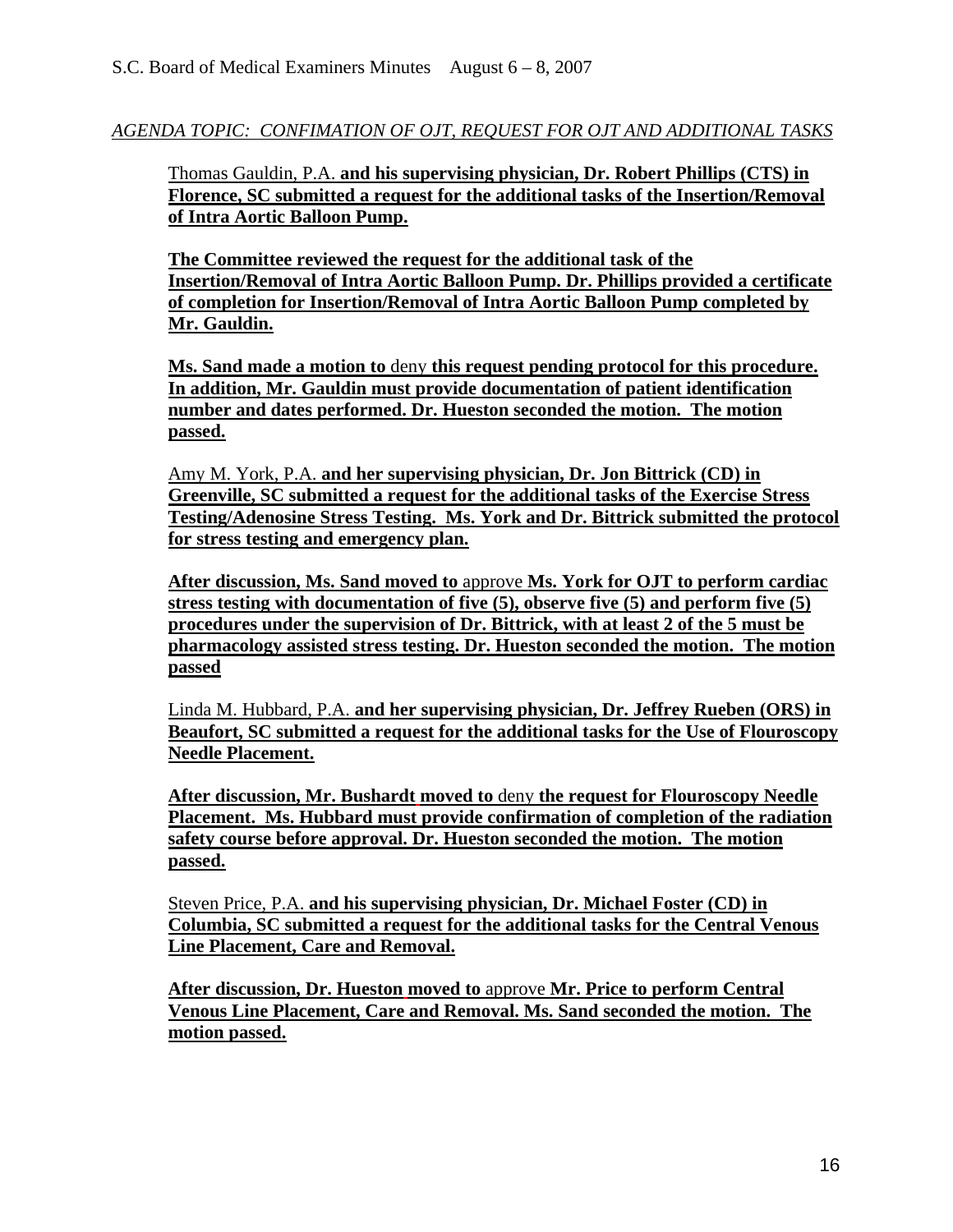*AGENDA TOPIC: CONFIMATION OF OJT, REQUEST FOR OJT AND ADDITIONAL TASKS*

Thomas Gauldin, P.A. **and his supervising physician, Dr. Robert Phillips (CTS) in Florence, SC submitted a request for the additional tasks of the Insertion/Removal of Intra Aortic Balloon Pump.** 

**The Committee reviewed the request for the additional task of the Insertion/Removal of Intra Aortic Balloon Pump. Dr. Phillips provided a certificate of completion for Insertion/Removal of Intra Aortic Balloon Pump completed by Mr. Gauldin.** 

**Ms. Sand made a motion to** deny **this request pending protocol for this procedure. In addition, Mr. Gauldin must provide documentation of patient identification number and dates performed. Dr. Hueston seconded the motion. The motion passed.**

Amy M. York, P.A. **and her supervising physician, Dr. Jon Bittrick (CD) in Greenville, SC submitted a request for the additional tasks of the Exercise Stress Testing/Adenosine Stress Testing. Ms. York and Dr. Bittrick submitted the protocol for stress testing and emergency plan.**

**After discussion, Ms. Sand moved to** approve **Ms. York for OJT to perform cardiac stress testing with documentation of five (5), observe five (5) and perform five (5) procedures under the supervision of Dr. Bittrick, with at least 2 of the 5 must be pharmacology assisted stress testing. Dr. Hueston seconded the motion. The motion passed**

Linda M. Hubbard, P.A. **and her supervising physician, Dr. Jeffrey Rueben (ORS) in Beaufort, SC submitted a request for the additional tasks for the Use of Flouroscopy Needle Placement.** 

**After discussion, Mr. Bushardt moved to** deny **the request for Flouroscopy Needle Placement. Ms. Hubbard must provide confirmation of completion of the radiation safety course before approval. Dr. Hueston seconded the motion. The motion passed.** 

Steven Price, P.A. **and his supervising physician, Dr. Michael Foster (CD) in Columbia, SC submitted a request for the additional tasks for the Central Venous Line Placement, Care and Removal.** 

**After discussion, Dr. Hueston moved to** approve **Mr. Price to perform Central Venous Line Placement, Care and Removal. Ms. Sand seconded the motion. The motion passed.**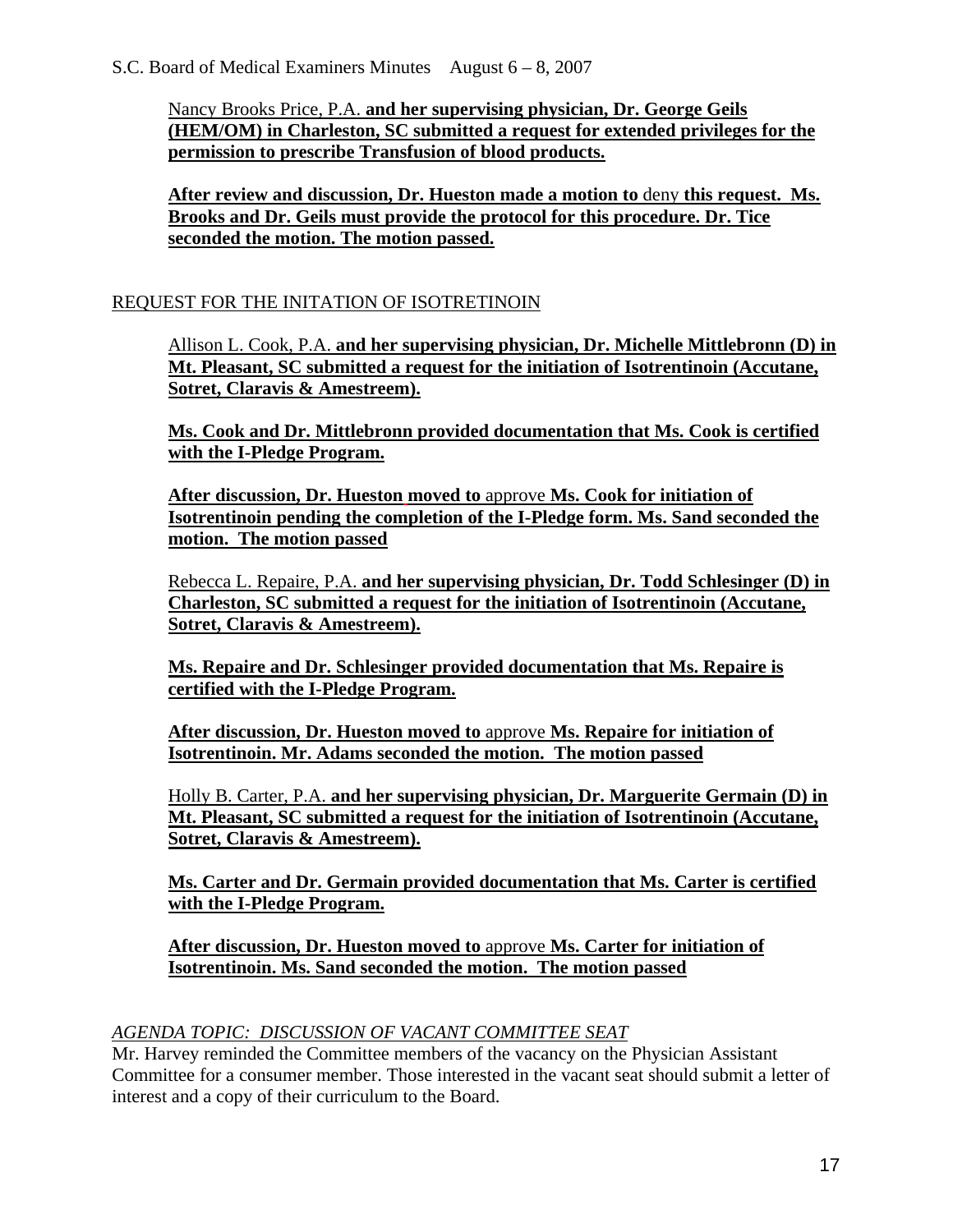Nancy Brooks Price, P.A. **and her supervising physician, Dr. George Geils (HEM/OM) in Charleston, SC submitted a request for extended privileges for the permission to prescribe Transfusion of blood products.**

**After review and discussion, Dr. Hueston made a motion to** deny **this request. Ms. Brooks and Dr. Geils must provide the protocol for this procedure. Dr. Tice seconded the motion. The motion passed.**

## REQUEST FOR THE INITATION OF ISOTRETINOIN

Allison L. Cook, P.A. **and her supervising physician, Dr. Michelle Mittlebronn (D) in Mt. Pleasant, SC submitted a request for the initiation of Isotrentinoin (Accutane, Sotret, Claravis & Amestreem).** 

**Ms. Cook and Dr. Mittlebronn provided documentation that Ms. Cook is certified with the I-Pledge Program.** 

**After discussion, Dr. Hueston moved to** approve **Ms. Cook for initiation of Isotrentinoin pending the completion of the I-Pledge form. Ms. Sand seconded the motion. The motion passed**

Rebecca L. Repaire, P.A. **and her supervising physician, Dr. Todd Schlesinger (D) in Charleston, SC submitted a request for the initiation of Isotrentinoin (Accutane, Sotret, Claravis & Amestreem).** 

**Ms. Repaire and Dr. Schlesinger provided documentation that Ms. Repaire is certified with the I-Pledge Program.** 

**After discussion, Dr. Hueston moved to** approve **Ms. Repaire for initiation of Isotrentinoin. Mr. Adams seconded the motion. The motion passed**

Holly B. Carter, P.A. **and her supervising physician, Dr. Marguerite Germain (D) in Mt. Pleasant, SC submitted a request for the initiation of Isotrentinoin (Accutane, Sotret, Claravis & Amestreem).** 

**Ms. Carter and Dr. Germain provided documentation that Ms. Carter is certified with the I-Pledge Program.** 

**After discussion, Dr. Hueston moved to** approve **Ms. Carter for initiation of Isotrentinoin. Ms. Sand seconded the motion. The motion passed**

## *AGENDA TOPIC: DISCUSSION OF VACANT COMMITTEE SEAT*

Mr. Harvey reminded the Committee members of the vacancy on the Physician Assistant Committee for a consumer member. Those interested in the vacant seat should submit a letter of interest and a copy of their curriculum to the Board.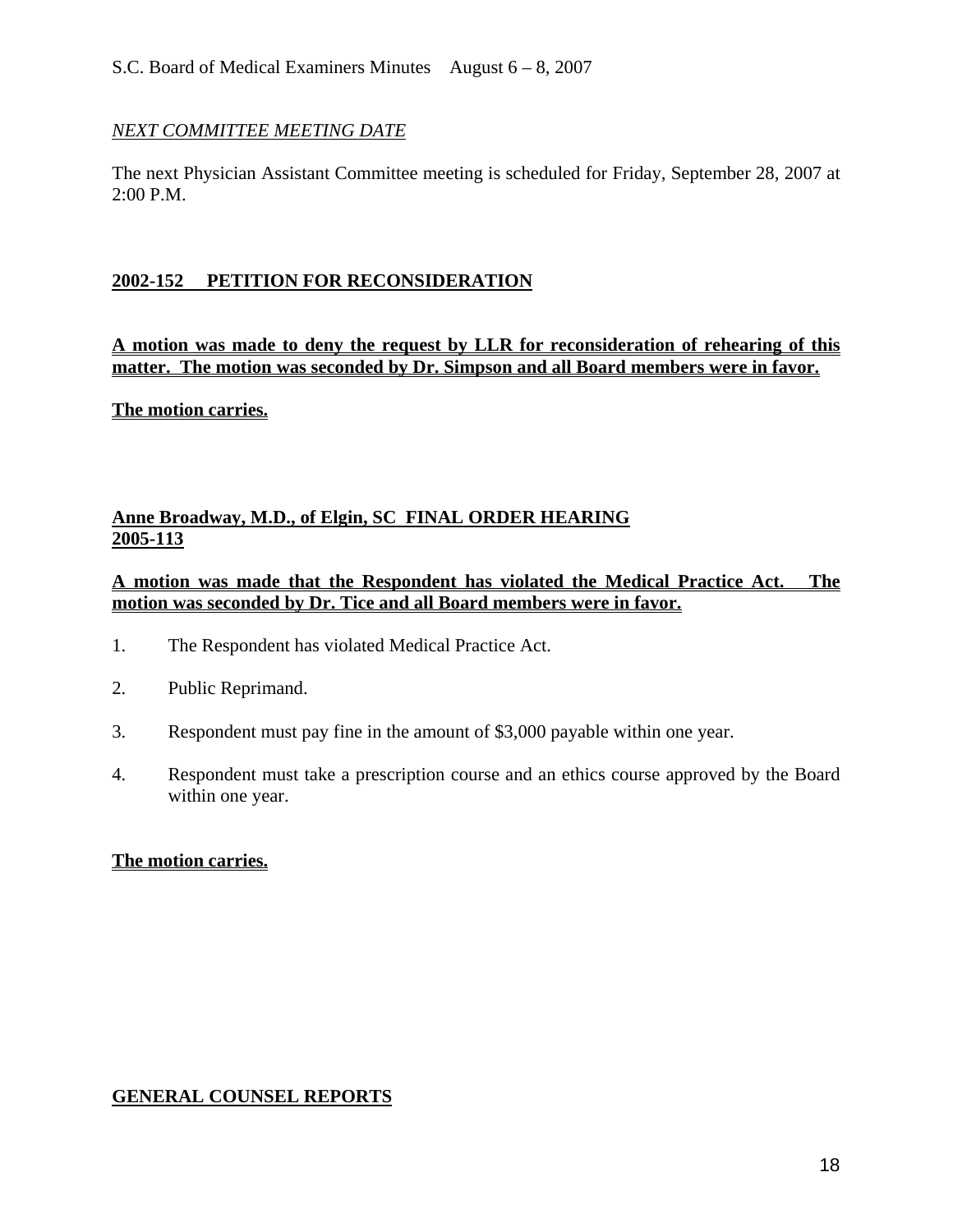### *NEXT COMMITTEE MEETING DATE*

The next Physician Assistant Committee meeting is scheduled for Friday, September 28, 2007 at 2:00 P.M.

## **2002-152 PETITION FOR RECONSIDERATION**

**A motion was made to deny the request by LLR for reconsideration of rehearing of this matter. The motion was seconded by Dr. Simpson and all Board members were in favor.** 

**The motion carries.**

## **Anne Broadway, M.D., of Elgin, SC FINAL ORDER HEARING 2005-113**

## **A motion was made that the Respondent has violated the Medical Practice Act. The motion was seconded by Dr. Tice and all Board members were in favor.**

- 1. The Respondent has violated Medical Practice Act.
- 2. Public Reprimand.
- 3. Respondent must pay fine in the amount of \$3,000 payable within one year.
- 4. Respondent must take a prescription course and an ethics course approved by the Board within one year.

#### **The motion carries.**

## **GENERAL COUNSEL REPORTS**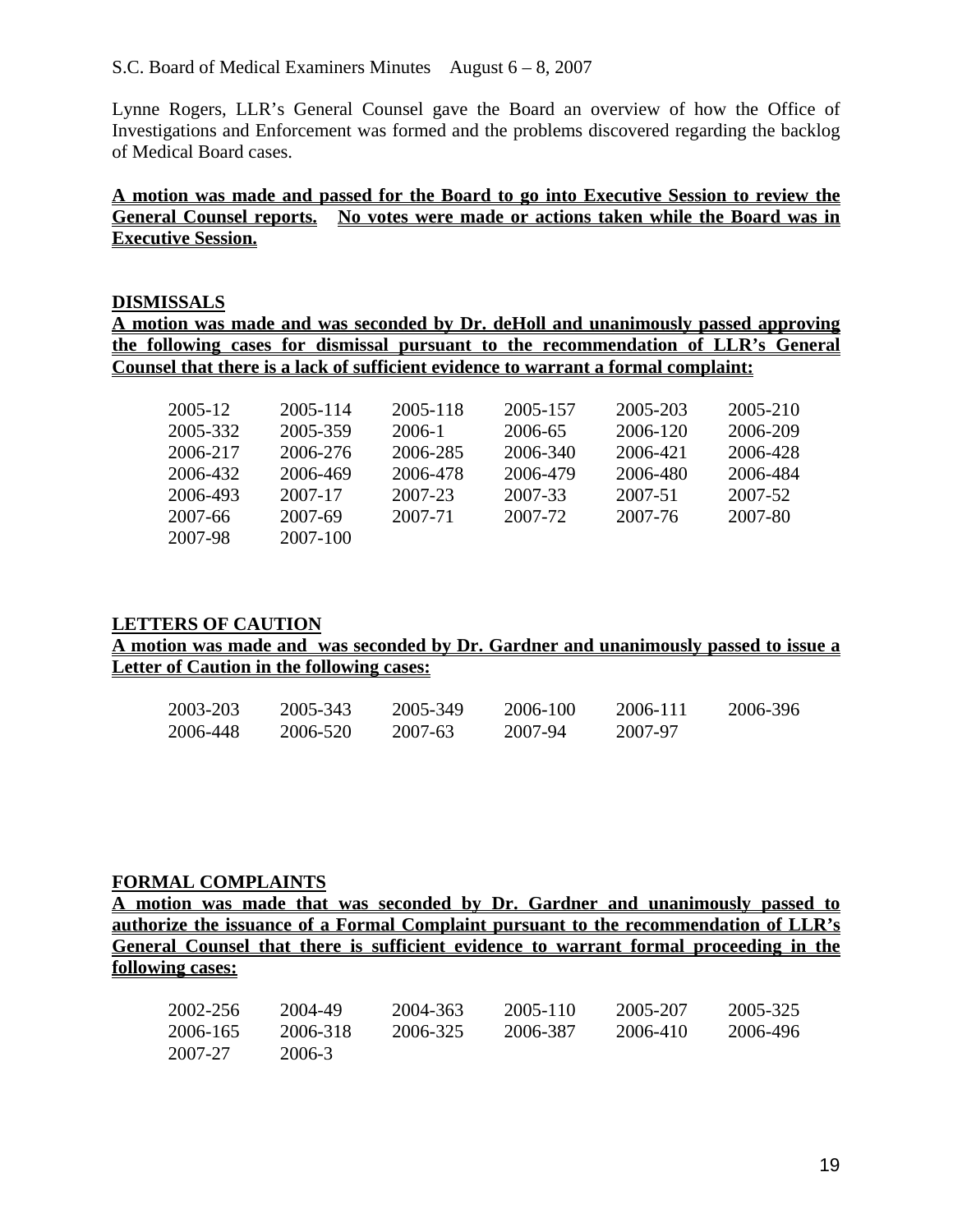#### S.C. Board of Medical Examiners Minutes August  $6 - 8$ , 2007

Lynne Rogers, LLR's General Counsel gave the Board an overview of how the Office of Investigations and Enforcement was formed and the problems discovered regarding the backlog of Medical Board cases.

## **A motion was made and passed for the Board to go into Executive Session to review the General Counsel reports. No votes were made or actions taken while the Board was in Executive Session.**

#### **DISMISSALS**

**A motion was made and was seconded by Dr. deHoll and unanimously passed approving the following cases for dismissal pursuant to the recommendation of LLR's General Counsel that there is a lack of sufficient evidence to warrant a formal complaint:** 

| 2005-12  | 2005-114 | 2005-118 | 2005-157 | 2005-203 | 2005-210 |
|----------|----------|----------|----------|----------|----------|
| 2005-332 | 2005-359 | 2006-1   | 2006-65  | 2006-120 | 2006-209 |
| 2006-217 | 2006-276 | 2006-285 | 2006-340 | 2006-421 | 2006-428 |
| 2006-432 | 2006-469 | 2006-478 | 2006-479 | 2006-480 | 2006-484 |
| 2006-493 | 2007-17  | 2007-23  | 2007-33  | 2007-51  | 2007-52  |
| 2007-66  | 2007-69  | 2007-71  | 2007-72  | 2007-76  | 2007-80  |
| 2007-98  | 2007-100 |          |          |          |          |
|          |          |          |          |          |          |

#### **LETTERS OF CAUTION**

#### **A motion was made and was seconded by Dr. Gardner and unanimously passed to issue a Letter of Caution in the following cases:**

| 2003-203 | 2005-343 | 2005-349 | 2006-100 | 2006-111 | 2006-396 |
|----------|----------|----------|----------|----------|----------|
| 2006-448 | 2006-520 | 2007-63  | 2007-94  | 2007-97  |          |

#### **FORMAL COMPLAINTS**

**A motion was made that was seconded by Dr. Gardner and unanimously passed to authorize the issuance of a Formal Complaint pursuant to the recommendation of LLR's General Counsel that there is sufficient evidence to warrant formal proceeding in the following cases:**

| 2002-256 | 2004-49  | 2004-363 | 2005-110 | 2005-207 | 2005-325 |
|----------|----------|----------|----------|----------|----------|
| 2006-165 | 2006-318 | 2006-325 | 2006-387 | 2006-410 | 2006-496 |
| 2007-27  | 2006-3   |          |          |          |          |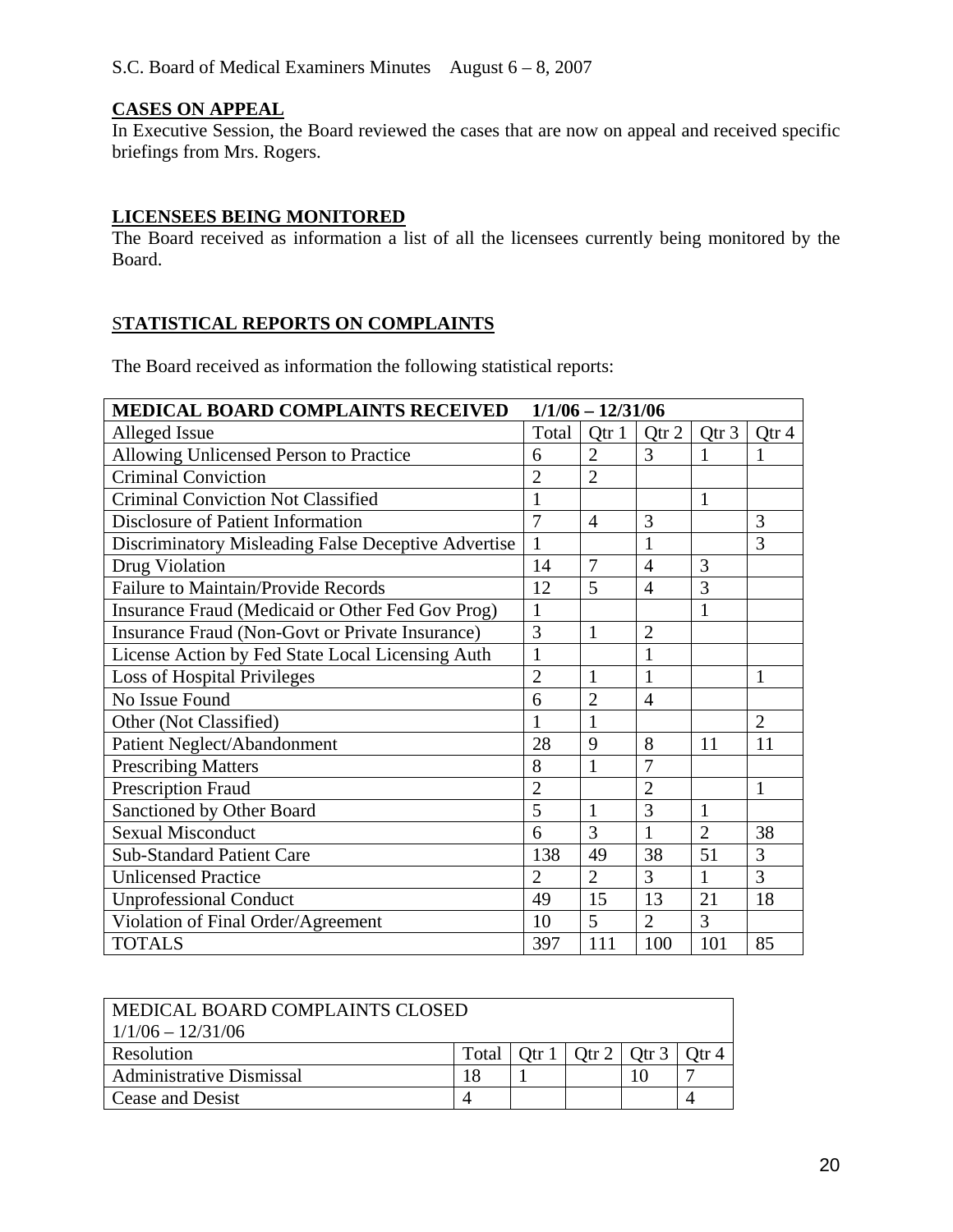## **CASES ON APPEAL**

In Executive Session, the Board reviewed the cases that are now on appeal and received specific briefings from Mrs. Rogers.

## **LICENSEES BEING MONITORED**

The Board received as information a list of all the licensees currently being monitored by the Board.

## S**TATISTICAL REPORTS ON COMPLAINTS**

The Board received as information the following statistical reports:

| <b>MEDICAL BOARD COMPLAINTS RECEIVED</b>            |                | $1/1/06 - 12/31/06$ |                |                |                |
|-----------------------------------------------------|----------------|---------------------|----------------|----------------|----------------|
| Alleged Issue                                       | Total          | Qtr 1               | Qtr 2          | Qtr 3          | Qtr 4          |
| Allowing Unlicensed Person to Practice              | 6              | $\overline{2}$      | 3              | 1              | $\mathbf{1}$   |
| <b>Criminal Conviction</b>                          | $\overline{2}$ | $\overline{2}$      |                |                |                |
| <b>Criminal Conviction Not Classified</b>           | $\mathbf{1}$   |                     |                | $\mathbf{1}$   |                |
| Disclosure of Patient Information                   | 7              | $\overline{4}$      | 3              |                | 3              |
| Discriminatory Misleading False Deceptive Advertise | $\mathbf{1}$   |                     | $\mathbf{1}$   |                | 3              |
| Drug Violation                                      | 14             | 7                   | $\overline{4}$ | 3              |                |
| <b>Failure to Maintain/Provide Records</b>          | 12             | 5                   | $\overline{4}$ | 3              |                |
| Insurance Fraud (Medicaid or Other Fed Gov Prog)    | 1              |                     |                | 1              |                |
| Insurance Fraud (Non-Govt or Private Insurance)     | 3              | $\mathbf{1}$        | $\overline{2}$ |                |                |
| License Action by Fed State Local Licensing Auth    | $\mathbf{1}$   |                     | $\mathbf{1}$   |                |                |
| <b>Loss of Hospital Privileges</b>                  | $\overline{2}$ | $\mathbf{1}$        | $\mathbf{1}$   |                | $\mathbf{1}$   |
| No Issue Found                                      | 6              | $\overline{2}$      | $\overline{4}$ |                |                |
| Other (Not Classified)                              | $\mathbf{1}$   | $\mathbf{1}$        |                |                | $\overline{2}$ |
| Patient Neglect/Abandonment                         | 28             | 9                   | 8              | 11             | 11             |
| <b>Prescribing Matters</b>                          | 8              | $\mathbf{1}$        | $\overline{7}$ |                |                |
| <b>Prescription Fraud</b>                           | $\overline{2}$ |                     | $\overline{2}$ |                | $\mathbf{1}$   |
| Sanctioned by Other Board                           | 5              | $\mathbf{1}$        | 3              | $\mathbf{1}$   |                |
| <b>Sexual Misconduct</b>                            | 6              | 3                   | $\mathbf{1}$   | $\overline{2}$ | 38             |
| <b>Sub-Standard Patient Care</b>                    | 138            | 49                  | 38             | 51             | 3              |
| <b>Unlicensed Practice</b>                          | $\overline{2}$ | $\overline{2}$      | 3              | $\mathbf{1}$   | $\overline{3}$ |
| <b>Unprofessional Conduct</b>                       | 49             | 15                  | 13             | 21             | 18             |
| Violation of Final Order/Agreement                  | 10             | 5                   | $\overline{2}$ | $\overline{3}$ |                |
| <b>TOTALS</b>                                       | 397            | 111                 | 100            | 101            | 85             |

| MEDICAL BOARD COMPLAINTS CLOSED<br>$1/1/06 - 12/31/06$ |       |  |                               |  |  |
|--------------------------------------------------------|-------|--|-------------------------------|--|--|
| Resolution                                             | Total |  | Otr 1   Otr 2   Otr 3   Otr 4 |  |  |
| <b>Administrative Dismissal</b>                        | .8    |  |                               |  |  |
| Cease and Desist                                       |       |  |                               |  |  |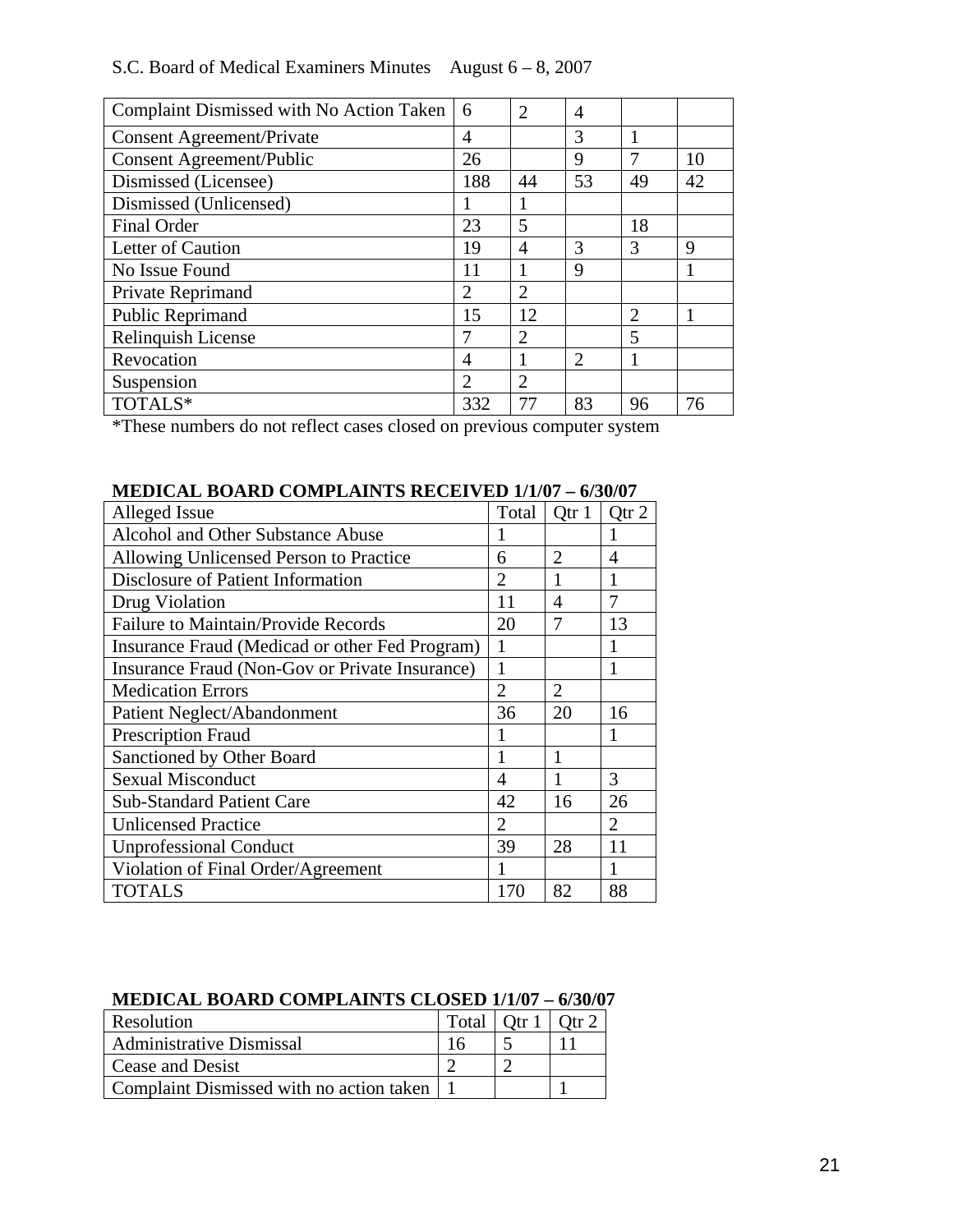## S.C. Board of Medical Examiners Minutes August 6 – 8, 2007

| Complaint Dismissed with No Action Taken | 6                           | 2              | 4              |                |    |
|------------------------------------------|-----------------------------|----------------|----------------|----------------|----|
| <b>Consent Agreement/Private</b>         | 4                           |                | 3              |                |    |
| <b>Consent Agreement/Public</b>          | 26                          |                | 9              |                | 10 |
| Dismissed (Licensee)                     | 188                         | 44             | 53             | 49             | 42 |
| Dismissed (Unlicensed)                   |                             |                |                |                |    |
| Final Order                              | 23                          | 5              |                | 18             |    |
| Letter of Caution                        | 19                          | 4              | 3              | 3              | 9  |
| No Issue Found                           | 11                          |                | 9              |                |    |
| Private Reprimand                        | 2                           | $\overline{2}$ |                |                |    |
| Public Reprimand                         | 15                          | 12             |                | $\overline{2}$ |    |
| Relinquish License                       | 7                           | $\overline{2}$ |                | 5              |    |
| Revocation                               | 4                           |                | $\overline{2}$ |                |    |
| Suspension                               | $\mathcal{D}_{\mathcal{L}}$ | $\mathfrak{D}$ |                |                |    |
| TOTALS*                                  | 332                         | 77             | 83             | 96             | 76 |

\*These numbers do not reflect cases closed on previous computer system

| Alleged Issue                                  | Total          | Qtr 1          | Qtr 2          |
|------------------------------------------------|----------------|----------------|----------------|
| <b>Alcohol and Other Substance Abuse</b>       |                |                |                |
| Allowing Unlicensed Person to Practice         | 6              | $\overline{2}$ | 4              |
| Disclosure of Patient Information              | $\mathfrak{D}$ |                |                |
| Drug Violation                                 | 11             | 4              | 7              |
| <b>Failure to Maintain/Provide Records</b>     | 20             | 7              | 13             |
| Insurance Fraud (Medicad or other Fed Program) | 1              |                |                |
| Insurance Fraud (Non-Gov or Private Insurance) | 1              |                | 1              |
| <b>Medication Errors</b>                       | $\overline{2}$ | 2              |                |
| Patient Neglect/Abandonment                    | 36             | 20             | 16             |
| <b>Prescription Fraud</b>                      |                |                |                |
| Sanctioned by Other Board                      |                | 1              |                |
| <b>Sexual Misconduct</b>                       | 4              |                | 3              |
| <b>Sub-Standard Patient Care</b>               | 42             | 16             | 26             |
| <b>Unlicensed Practice</b>                     | $\mathfrak{D}$ |                | $\mathfrak{D}$ |
| <b>Unprofessional Conduct</b>                  | 39             | 28             | 11             |
| Violation of Final Order/Agreement             |                |                |                |
| <b>TOTALS</b>                                  | 170            | 82             | 88             |

# **MEDICAL BOARD COMPLAINTS RECEIVED 1/1/07 – 6/30/07**

## **MEDICAL BOARD COMPLAINTS CLOSED 1/1/07 – 6/30/07**

| Resolution                                 | Total   Otr 1 | Otr $2$ |
|--------------------------------------------|---------------|---------|
| <b>Administrative Dismissal</b>            |               |         |
| Cease and Desist                           |               |         |
| Complaint Dismissed with no action taken 1 |               |         |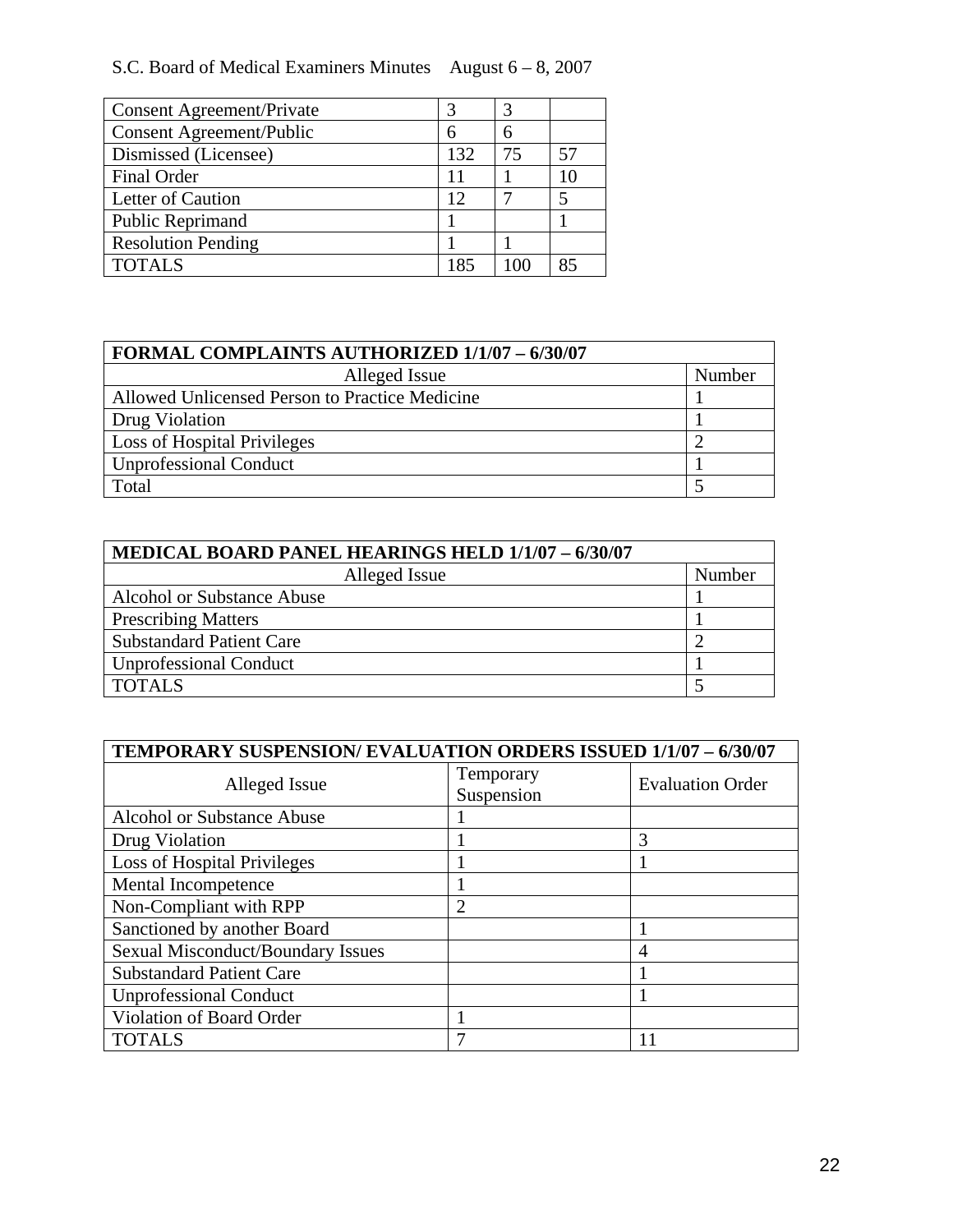# S.C. Board of Medical Examiners Minutes August 6 – 8, 2007

| <b>Consent Agreement/Private</b> |     | 3 |  |
|----------------------------------|-----|---|--|
| Consent Agreement/Public         | 6   | 6 |  |
| Dismissed (Licensee)             | 132 |   |  |
| <b>Final Order</b>               |     |   |  |
| Letter of Caution                | 12  |   |  |
| <b>Public Reprimand</b>          |     |   |  |
| <b>Resolution Pending</b>        |     |   |  |
| <b>TOTALS</b>                    | 185 |   |  |

| <b>FORMAL COMPLAINTS AUTHORIZED 1/1/07 - 6/30/07</b> |        |  |
|------------------------------------------------------|--------|--|
| Alleged Issue                                        | Number |  |
| Allowed Unlicensed Person to Practice Medicine       |        |  |
| Drug Violation                                       |        |  |
| <b>Loss of Hospital Privileges</b>                   |        |  |
| Unprofessional Conduct                               |        |  |
| Total                                                |        |  |

| MEDICAL BOARD PANEL HEARINGS HELD 1/1/07 - 6/30/07 |        |  |
|----------------------------------------------------|--------|--|
| Alleged Issue                                      | Number |  |
| Alcohol or Substance Abuse                         |        |  |
| <b>Prescribing Matters</b>                         |        |  |
| <b>Substandard Patient Care</b>                    |        |  |
| Unprofessional Conduct                             |        |  |
| <b>TOTALS</b>                                      |        |  |

| <b>TEMPORARY SUSPENSION/ EVALUATION ORDERS ISSUED 1/1/07 - 6/30/07</b> |                         |                         |  |  |
|------------------------------------------------------------------------|-------------------------|-------------------------|--|--|
| Alleged Issue                                                          | Temporary<br>Suspension | <b>Evaluation Order</b> |  |  |
| <b>Alcohol or Substance Abuse</b>                                      |                         |                         |  |  |
| Drug Violation                                                         |                         | 3                       |  |  |
| <b>Loss of Hospital Privileges</b>                                     |                         |                         |  |  |
| Mental Incompetence                                                    |                         |                         |  |  |
| Non-Compliant with RPP                                                 | $\overline{2}$          |                         |  |  |
| Sanctioned by another Board                                            |                         |                         |  |  |
| <b>Sexual Misconduct/Boundary Issues</b>                               |                         | 4                       |  |  |
| <b>Substandard Patient Care</b>                                        |                         |                         |  |  |
| <b>Unprofessional Conduct</b>                                          |                         |                         |  |  |
| Violation of Board Order                                               |                         |                         |  |  |
| <b>TOTALS</b>                                                          | 7                       | 11                      |  |  |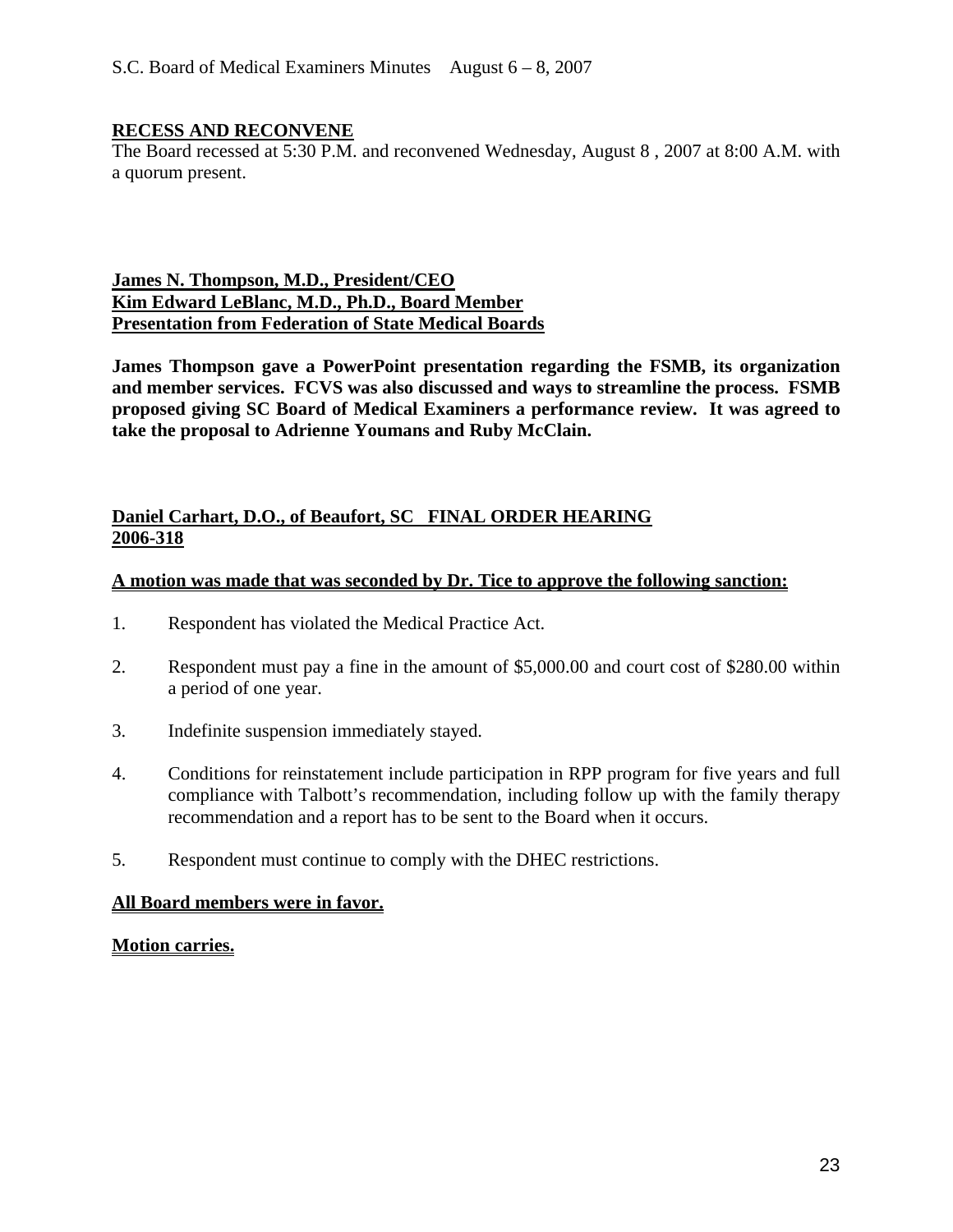## **RECESS AND RECONVENE**

The Board recessed at 5:30 P.M. and reconvened Wednesday, August 8 , 2007 at 8:00 A.M. with a quorum present.

#### **James N. Thompson, M.D., President/CEO Kim Edward LeBlanc, M.D., Ph.D., Board Member Presentation from Federation of State Medical Boards**

**James Thompson gave a PowerPoint presentation regarding the FSMB, its organization and member services. FCVS was also discussed and ways to streamline the process. FSMB proposed giving SC Board of Medical Examiners a performance review. It was agreed to take the proposal to Adrienne Youmans and Ruby McClain.** 

#### **Daniel Carhart, D.O., of Beaufort, SC FINAL ORDER HEARING 2006-318**

#### **A motion was made that was seconded by Dr. Tice to approve the following sanction:**

- 1. Respondent has violated the Medical Practice Act.
- 2. Respondent must pay a fine in the amount of \$5,000.00 and court cost of \$280.00 within a period of one year.
- 3. Indefinite suspension immediately stayed.
- 4. Conditions for reinstatement include participation in RPP program for five years and full compliance with Talbott's recommendation, including follow up with the family therapy recommendation and a report has to be sent to the Board when it occurs.
- 5. Respondent must continue to comply with the DHEC restrictions.

#### **All Board members were in favor.**

#### **Motion carries.**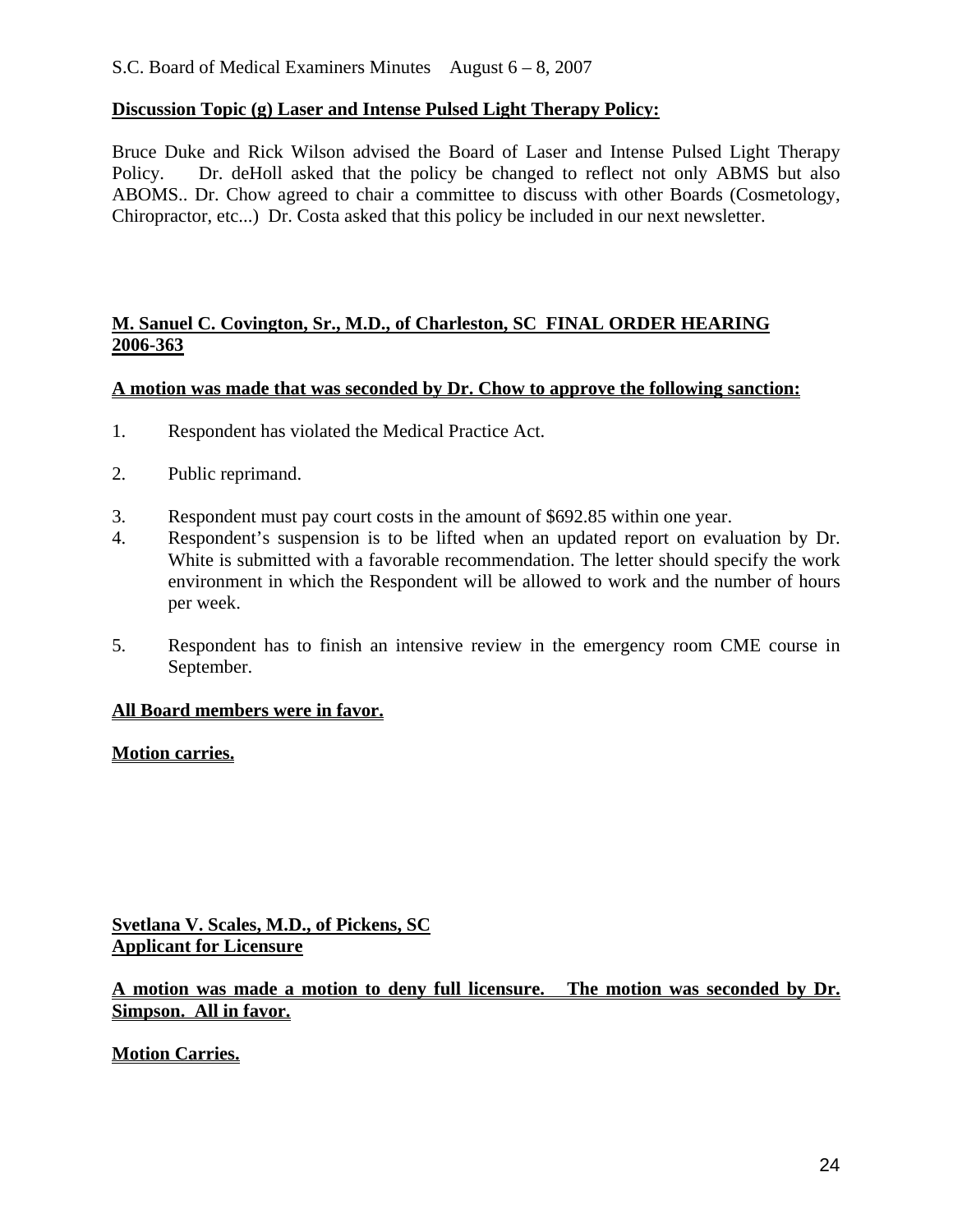### **Discussion Topic (g) Laser and Intense Pulsed Light Therapy Policy:**

Bruce Duke and Rick Wilson advised the Board of Laser and Intense Pulsed Light Therapy Policy. Dr. deHoll asked that the policy be changed to reflect not only ABMS but also ABOMS.. Dr. Chow agreed to chair a committee to discuss with other Boards (Cosmetology, Chiropractor, etc...) Dr. Costa asked that this policy be included in our next newsletter.

#### **M. Sanuel C. Covington, Sr., M.D., of Charleston, SC FINAL ORDER HEARING 2006-363**

#### **A motion was made that was seconded by Dr. Chow to approve the following sanction:**

- 1. Respondent has violated the Medical Practice Act.
- 2. Public reprimand.
- 3. Respondent must pay court costs in the amount of \$692.85 within one year.
- 4. Respondent's suspension is to be lifted when an updated report on evaluation by Dr. White is submitted with a favorable recommendation. The letter should specify the work environment in which the Respondent will be allowed to work and the number of hours per week.
- 5. Respondent has to finish an intensive review in the emergency room CME course in September.

#### **All Board members were in favor.**

#### **Motion carries.**

**Svetlana V. Scales, M.D., of Pickens, SC Applicant for Licensure**

## **A motion was made a motion to deny full licensure. The motion was seconded by Dr. Simpson. All in favor.**

**Motion Carries.**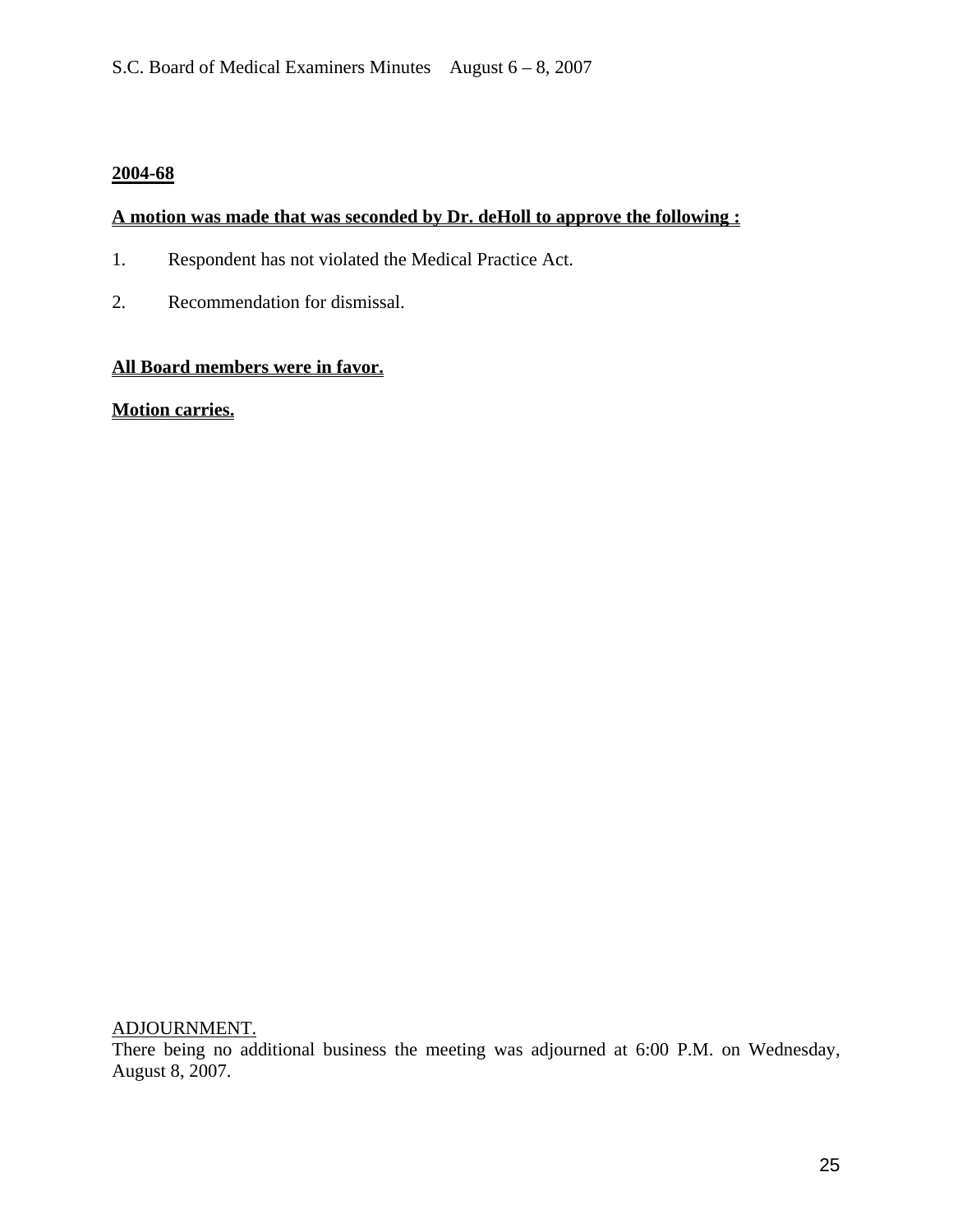## **2004-68**

## **A motion was made that was seconded by Dr. deHoll to approve the following :**

- 1. Respondent has not violated the Medical Practice Act.
- 2. Recommendation for dismissal.

## **All Board members were in favor.**

**Motion carries.**

ADJOURNMENT.

There being no additional business the meeting was adjourned at 6:00 P.M. on Wednesday, August 8, 2007.